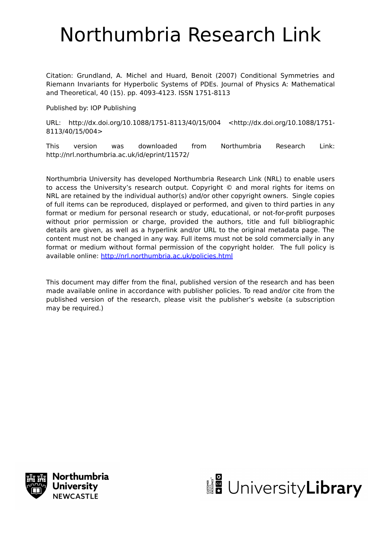# Northumbria Research Link

Citation: Grundland, A. Michel and Huard, Benoit (2007) Conditional Symmetries and Riemann Invariants for Hyperbolic Systems of PDEs. Journal of Physics A: Mathematical and Theoretical, 40 (15). pp. 4093-4123. ISSN 1751-8113

Published by: IOP Publishing

URL: http://dx.doi.org/10.1088/1751-8113/40/15/004 <http://dx.doi.org/10.1088/1751- 8113/40/15/004>

This version was downloaded from Northumbria Research Link: http://nrl.northumbria.ac.uk/id/eprint/11572/

Northumbria University has developed Northumbria Research Link (NRL) to enable users to access the University's research output. Copyright © and moral rights for items on NRL are retained by the individual author(s) and/or other copyright owners. Single copies of full items can be reproduced, displayed or performed, and given to third parties in any format or medium for personal research or study, educational, or not-for-profit purposes without prior permission or charge, provided the authors, title and full bibliographic details are given, as well as a hyperlink and/or URL to the original metadata page. The content must not be changed in any way. Full items must not be sold commercially in any format or medium without formal permission of the copyright holder. The full policy is available online:<http://nrl.northumbria.ac.uk/policies.html>

This document may differ from the final, published version of the research and has been made available online in accordance with publisher policies. To read and/or cite from the published version of the research, please visit the publisher's website (a subscription may be required.)



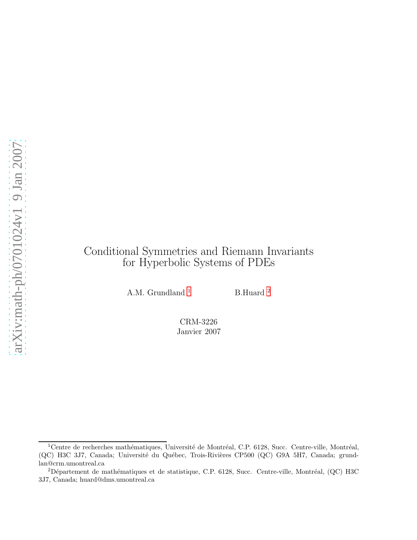# Conditional Symmetries and Riemann Invariants for Hyperbolic Systems of PDEs

A.M. Grundland  $^1$  $^1$   $\hspace{1cm}$  B.Huard  $^2$  $^2$ 

CRM-3226 Janvier 2007

<span id="page-1-0"></span> $1$ Centre de recherches mathématiques, Université de Montréal, C.P. 6128, Succ. Centre-ville, Montréal, (QC) H3C 3J7, Canada; Université du Québec, Trois-Rivières CP500 (QC) G9A 5H7, Canada; grundlan@crm.umontreal.ca

<span id="page-1-1"></span> $2$ Département de mathématiques et de statistique, C.P. 6128, Succ. Centre-ville, Montréal, (QC) H3C 3J7, Canada; huard@dms.umontreal.ca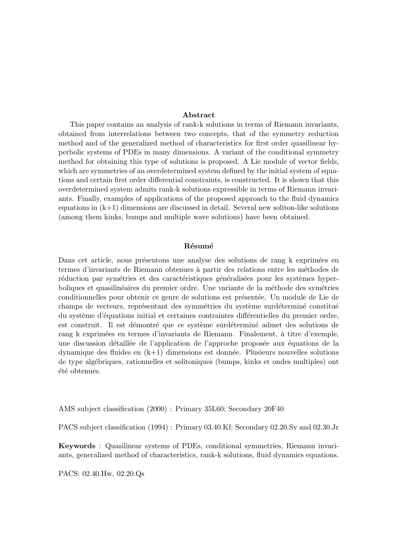#### Abstract

This paper contains an analysis of rank-k solutions in terms of Riemann invariants, obtained from interrelations between two concepts, that of the symmetry reduction method and of the generalized method of characteristics for first order quasilinear hyperbolic systems of PDEs in many dimensions. A variant of the conditional symmetry method for obtaining this type of solutions is proposed. A Lie module of vector fields, which are symmetries of an overdetermined system defined by the initial system of equations and certain first order differential constraints, is constructed. It is shown that this overdetermined system admits rank-k solutions expressible in terms of Riemann invariants. Finally, examples of applications of the proposed approach to the fluid dynamics equations in  $(k+1)$  dimensions are discussed in detail. Several new soliton-like solutions (among them kinks, bumps and multiple wave solutions) have been obtained.

#### Résumé

Dans cet article, nous présentons une analyse des solutions de rang k exprimées en termes d'invariants de Riemann obtenues à partir des relations entre les méthodes de réduction par symétries et des caractéristiques généralisées pour les systèmes hyperboliques et quasilinéaires du premier ordre. Une variante de la méthode des symétries conditionnelles pour obtenir ce genre de solutions est présentée. Un module de Lie de champs de vecteurs, représentant des symmétries du système surdéterminé constitué du système d'équations initial et certaines contraintes différentielles du premier ordre, est construit. Il est démontré que ce système surdéterminé admet des solutions de rang k exprimées en termes d'invariants de Riemann. Finalement, à titre d'exemple, une discussion détaillée de l'application de l'approche proposée aux équations de la dynamique des fluides en  $(k+1)$  dimensions est donnée. Plusieurs nouvelles solutions de type alg´ebriques, rationnelles et solitoniques (bumps, kinks et ondes multiples) ont été obtenues.

AMS subject classification (2000) : Primary 35L60; Secondary 20F40

PACS subject classification (1994) : Primary 03.40.Kf; Secondary 02.20.Sv and 02.30.Jr

Keywords : Quasilinear systems of PDEs, conditional symmetries, Riemann invariants, generalized method of characteristics, rank-k solutions, fluid dynamics equations.

PACS: 02.40.Hw, 02.20.Qs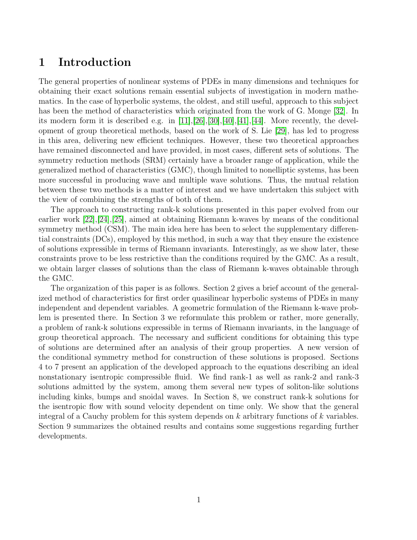# 1 Introduction

The general properties of nonlinear systems of PDEs in many dimensions and techniques for obtaining their exact solutions remain essential subjects of investigation in modern mathematics. In the case of hyperbolic systems, the oldest, and still useful, approach to this subject has been the method of characteristics which originated from the work of G. Monge [\[32\]](#page-39-0). In its modern form it is described e.g. in  $[11],[26],[30],[40],[41],[44]$  $[11],[26],[30],[40],[41],[44]$  $[11],[26],[30],[40],[41],[44]$  $[11],[26],[30],[40],[41],[44]$  $[11],[26],[30],[40],[41],[44]$  $[11],[26],[30],[40],[41],[44]$  $[11],[26],[30],[40],[41],[44]$  $[11],[26],[30],[40],[41],[44]$  $[11],[26],[30],[40],[41],[44]$  $[11],[26],[30],[40],[41],[44]$ . More recently, the development of group theoretical methods, based on the work of S. Lie [\[29\]](#page-39-4), has led to progress in this area, delivering new efficient techniques. However, these two theoretical approaches have remained disconnected and have provided, in most cases, different sets of solutions. The symmetry reduction methods (SRM) certainly have a broader range of application, while the generalized method of characteristics (GMC), though limited to nonelliptic systems, has been more successful in producing wave and multiple wave solutions. Thus, the mutual relation between these two methods is a matter of interest and we have undertaken this subject with the view of combining the strengths of both of them.

The approach to constructing rank-k solutions presented in this paper evolved from our earlier work [\[22\]](#page-38-1),[\[24\]](#page-38-2),[\[25\]](#page-38-3), aimed at obtaining Riemann k-waves by means of the conditional symmetry method (CSM). The main idea here has been to select the supplementary differential constraints (DCs), employed by this method, in such a way that they ensure the existence of solutions expressible in terms of Riemann invariants. Interestingly, as we show later, these constraints prove to be less restrictive than the conditions required by the GMC. As a result, we obtain larger classes of solutions than the class of Riemann k-waves obtainable through the GMC.

The organization of this paper is as follows. Section 2 gives a brief account of the generalized method of characteristics for first order quasilinear hyperbolic systems of PDEs in many independent and dependent variables. A geometric formulation of the Riemann k-wave problem is presented there. In Section 3 we reformulate this problem or rather, more generally, a problem of rank-k solutions expressible in terms of Riemann invariants, in the language of group theoretical approach. The necessary and sufficient conditions for obtaining this type of solutions are determined after an analysis of their group properties. A new version of the conditional symmetry method for construction of these solutions is proposed. Sections 4 to 7 present an application of the developed approach to the equations describing an ideal nonstationary isentropic compressible fluid. We find rank-1 as well as rank-2 and rank-3 solutions admitted by the system, among them several new types of soliton-like solutions including kinks, bumps and snoidal waves. In Section 8, we construct rank-k solutions for the isentropic flow with sound velocity dependent on time only. We show that the general integral of a Cauchy problem for this system depends on  $k$  arbitrary functions of  $k$  variables. Section 9 summarizes the obtained results and contains some suggestions regarding further developments.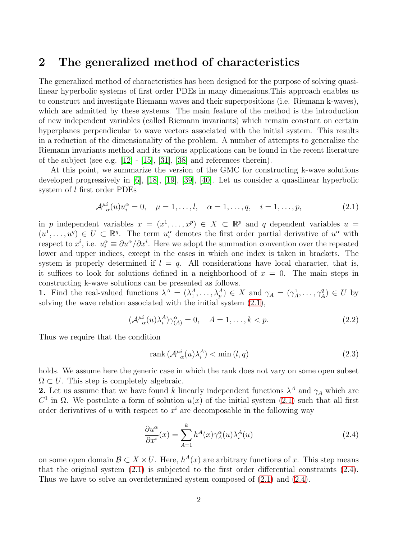### 2 The generalized method of characteristics

The generalized method of characteristics has been designed for the purpose of solving quasilinear hyperbolic systems of first order PDEs in many dimensions.This approach enables us to construct and investigate Riemann waves and their superpositions (i.e. Riemann k-waves), which are admitted by these systems. The main feature of the method is the introduction of new independent variables (called Riemann invariants) which remain constant on certain hyperplanes perpendicular to wave vectors associated with the initial system. This results in a reduction of the dimensionality of the problem. A number of attempts to generalize the Riemann invariants method and its various applications can be found in the recent literature of the subject (see e.g.  $[12] - [15]$  $[12] - [15]$ ,  $[31]$ ,  $[38]$  and references therein).

At this point, we summarize the version of the GMC for constructing k-wave solutions developed progressively in [\[6\]](#page-37-1), [\[18\]](#page-38-6), [\[19\]](#page-38-7), [\[39\]](#page-39-7), [\[40\]](#page-39-2). Let us consider a quasilinear hyperbolic system of l first order PDEs

<span id="page-4-0"></span>
$$
\mathcal{A}^{\mu}_{\alpha}(u)u_i^{\alpha} = 0, \quad \mu = 1, \dots, l, \quad \alpha = 1, \dots, q, \quad i = 1, \dots, p,
$$
\n(2.1)

in p independent variables  $x = (x^1, \ldots, x^p) \in X \subset \mathbb{R}^p$  and q dependent variables  $u =$  $(u^1,\ldots,u^q)\in U\subset\mathbb{R}^q$ . The term  $u_i^{\alpha}$  denotes the first order partial derivative of  $u^{\alpha}$  with respect to  $x^i$ , i.e.  $u_i^{\alpha} \equiv \partial u^{\alpha}/\partial x^i$ . Here we adopt the summation convention over the repeated lower and upper indices, except in the cases in which one index is taken in brackets. The system is properly determined if  $l = q$ . All considerations have local character, that is, it suffices to look for solutions defined in a neighborhood of  $x = 0$ . The main steps in constructing k-wave solutions can be presented as follows.

**1.** Find the real-valued functions  $\lambda^A = (\lambda_1^A, \ldots, \lambda_p^A) \in X$  and  $\gamma_A = (\gamma_A^1, \ldots, \gamma_A^q)$  $L_A^q$ )  $\in U$  by solving the wave relation associated with the initial system [\(2.1\)](#page-4-0),

<span id="page-4-2"></span>
$$
(\mathcal{A}^{\mu i}_{\alpha}(u)\lambda_i^A)\gamma_{(A)}^{\alpha} = 0, \quad A = 1, \dots, k < p. \tag{2.2}
$$

Thus we require that the condition

$$
rank\left(\mathcal{A}_{\alpha}^{\mu i}(u)\lambda_i^A\right) < \min\left(l, q\right) \tag{2.3}
$$

holds. We assume here the generic case in which the rank does not vary on some open subset  $\Omega \subset U$ . This step is completely algebraic.

**2.** Let us assume that we have found k linearly independent functions  $\lambda^A$  and  $\gamma_A$  which are  $C<sup>1</sup>$  in Ω. We postulate a form of solution  $u(x)$  of the initial system [\(2.1\)](#page-4-0) such that all first order derivatives of u with respect to  $x^i$  are decomposable in the following way

<span id="page-4-1"></span>
$$
\frac{\partial u^{\alpha}}{\partial x^{i}}(x) = \sum_{A=1}^{k} h^{A}(x) \gamma_{A}^{\alpha}(u) \lambda_{i}^{A}(u)
$$
\n(2.4)

on some open domain  $\mathcal{B} \subset X \times U$ . Here,  $h^{A}(x)$  are arbitrary functions of x. This step means that the original system  $(2.1)$  is subjected to the first order differential constraints  $(2.4)$ . Thus we have to solve an overdetermined system composed of [\(2.1\)](#page-4-0) and [\(2.4\)](#page-4-1).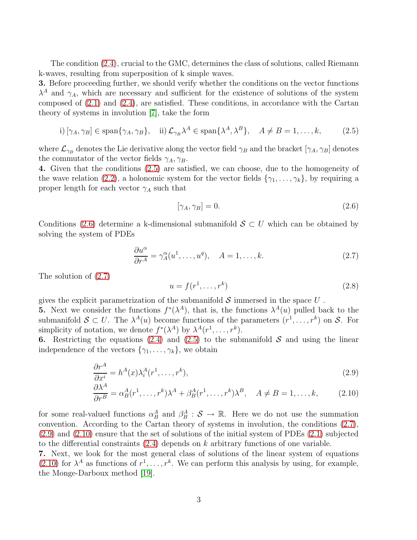The condition [\(2.4\)](#page-4-1), crucial to the GMC, determines the class of solutions, called Riemann k-waves, resulting from superposition of k simple waves.

3. Before proceeding further, we should verify whether the conditions on the vector functions  $\lambda^A$  and  $\gamma_A$ , which are necessary and sufficient for the existence of solutions of the system composed of [\(2.1\)](#page-4-0) and [\(2.4\)](#page-4-1), are satisfied. These conditions, in accordance with the Cartan theory of systems in involution [\[7\]](#page-37-2), take the form

<span id="page-5-0"></span>i) 
$$
[\gamma_A, \gamma_B] \in \text{span}\{\gamma_A, \gamma_B\}, \quad \text{ii) } \mathcal{L}_{\gamma_B} \lambda^A \in \text{span}\{\lambda^A, \lambda^B\}, \quad A \neq B = 1, \dots, k,
$$
 (2.5)

where  $\mathcal{L}_{\gamma_B}$  denotes the Lie derivative along the vector field  $\gamma_B$  and the bracket  $[\gamma_A, \gamma_B]$  denotes the commutator of the vector fields  $\gamma_A, \gamma_B$ .

4. Given that the conditions [\(2.5\)](#page-5-0) are satisfied, we can choose, due to the homogeneity of the wave relation [\(2.2\)](#page-4-2), a holonomic system for the vector fields  $\{\gamma_1, \ldots, \gamma_k\}$ , by requiring a proper length for each vector  $\gamma_A$  such that

<span id="page-5-1"></span>
$$
[\gamma_A, \gamma_B] = 0. \tag{2.6}
$$

Conditions [\(2.6\)](#page-5-1) determine a k-dimensional submanifold  $S \subset U$  which can be obtained by solving the system of PDEs

<span id="page-5-2"></span>
$$
\frac{\partial u^{\alpha}}{\partial r^{A}} = \gamma_{A}^{\alpha}(u^{1}, \dots, u^{q}), \quad A = 1, \dots, k.
$$
 (2.7)

The solution of [\(2.7\)](#page-5-2)

<span id="page-5-4"></span>
$$
u = f(r1, \dots, rk)
$$
\n
$$
(2.8)
$$

gives the explicit parametrization of the submanifold  $\mathcal S$  immersed in the space  $U$ .

**5.** Next we consider the functions  $f^*(\lambda^A)$ , that is, the functions  $\lambda^A(u)$  pulled back to the submanifold  $S \subset U$ . The  $\lambda^A(u)$  become functions of the parameters  $(r^1, \ldots, r^k)$  on S. For simplicity of notation, we denote  $f^*(\lambda^A)$  by  $\lambda^A(r^1,\ldots,r^k)$ .

6. Restricting the equations [\(2.4\)](#page-4-1) and [\(2.5\)](#page-5-0) to the submanifold  $S$  and using the linear independence of the vectors  $\{\gamma_1, \ldots, \gamma_k\}$ , we obtain

<span id="page-5-3"></span>
$$
\frac{\partial r^A}{\partial x^i} = h^A(x)\lambda_i^A(r^1, \dots, r^k),\tag{2.9}
$$

$$
\frac{\partial \lambda^A}{\partial r^B} = \alpha_B^A(r^1, \dots, r^k) \lambda^A + \beta_B^A(r^1, \dots, r^k) \lambda^B, \quad A \neq B = 1, \dots, k,
$$
 (2.10)

for some real-valued functions  $\alpha_B^A$  and  $\beta_B^A$  :  $S \to \mathbb{R}$ . Here we do not use the summation convention. According to the Cartan theory of systems in involution, the conditions [\(2.7\)](#page-5-2), [\(2.9\)](#page-5-3) and [\(2.10\)](#page-5-3) ensure that the set of solutions of the initial system of PDEs [\(2.1\)](#page-4-0) subjected to the differential constraints  $(2.4)$  depends on k arbitrary functions of one variable.

7. Next, we look for the most general class of solutions of the linear system of equations [\(2.10\)](#page-5-3) for  $\lambda^A$  as functions of  $r^1, \ldots, r^k$ . We can perform this analysis by using, for example, the Monge-Darboux method [\[19\]](#page-38-7).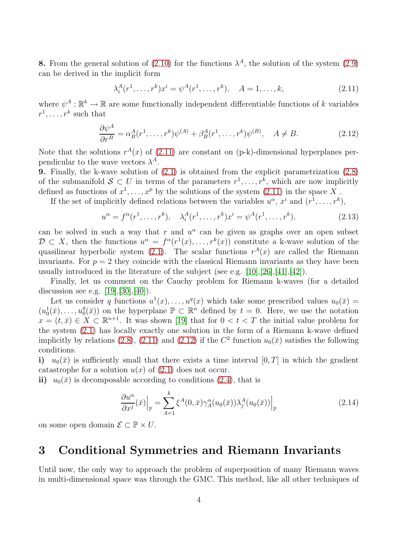**8.** From the general solution of [\(2.10\)](#page-5-3) for the functions  $\lambda^A$ , the solution of the system [\(2.9\)](#page-5-3) can be derived in the implicit form

<span id="page-6-0"></span>
$$
\lambda_i^A(r^1, \dots, r^k)x^i = \psi^A(r^1, \dots, r^k), \quad A = 1, \dots, k,
$$
\n(2.11)

where  $\psi^A : \mathbb{R}^k \to \mathbb{R}$  are some functionally independent differentiable functions of k variables  $r^1, \ldots, r^k$  such that

<span id="page-6-1"></span>
$$
\frac{\partial \psi^A}{\partial r^B} = \alpha_B^A(r^1, \dots, r^k) \psi^{(A)} + \beta_B^A(r^1, \dots, r^k) \psi^{(B)}, \quad A \neq B. \tag{2.12}
$$

Note that the solutions  $r^{A}(x)$  of [\(2.11\)](#page-6-0) are constant on (p-k)-dimensional hyperplanes perpendicular to the wave vectors  $\lambda^A$ .

9. Finally, the k-wave solution of [\(2.1\)](#page-4-0) is obtained from the explicit parametrization [\(2.8\)](#page-5-4) of the submanifold  $S \subset U$  in terms of the parameters  $r^1, \ldots, r^k$ , which are now implicitly defined as functions of  $x^1, \ldots, x^p$  by the solutions of the system  $(2.11)$  in the space X.

If the set of implicitly defined relations between the variables  $u^{\alpha}, x^{i}$  and  $(r^{1}, \ldots, r^{k})$ ,

$$
u^{\alpha} = f^{\alpha}(r^1, \dots, r^k), \quad \lambda_i^A(r^1, \dots, r^k)x^i = \psi^A(r^1, \dots, r^k), \tag{2.13}
$$

can be solved in such a way that r and  $u^{\alpha}$  can be given as graphs over an open subset  $\mathcal{D} \subset X$ , then the functions  $u^{\alpha} = f^{\alpha}(r^{1}(x), \ldots, r^{k}(x))$  constitute a k-wave solution of the quasilinear hyperbolic system [\(2.1\)](#page-4-0). The scalar functions  $r^{A}(x)$  are called the Riemann invariants. For  $p = 2$  they coincide with the classical Riemann invariants as they have been usually introduced in the literature of the subject (see e.g.  $[10],[26],[41],[42]$  $[10],[26],[41],[42]$  $[10],[26],[41],[42]$  $[10],[26],[41],[42]$  $[10],[26],[41],[42]$  $[10],[26],[41],[42]$ ).

Finally, let us comment on the Cauchy problem for Riemann k-waves (for a detailed discussion see e.g.  $[19], [30], [40]$  $[19], [30], [40]$  $[19], [30], [40]$  $[19], [30], [40]$ .

Let us consider q functions  $u^1(x), \ldots, u^q(x)$  which take some prescribed values  $u_0(\bar{x}) =$  $(u_0^1(\bar{x}), \ldots, u_0^q)$  $\binom{q}{0}$ ( $\bar{x}$ )) on the hyperplane  $\mathbb{P} \subset \mathbb{R}^n$  defined by  $t = 0$ . Here, we use the notation  $x = (t, \bar{x}) \in X \subset \mathbb{R}^{n+1}$ . It was shown [\[19\]](#page-38-7) that for  $0 < t < T$  the initial value problem for the system [\(2.1\)](#page-4-0) has locally exactly one solution in the form of a Riemann k-wave defined implicitly by relations [\(2.8\)](#page-5-4), [\(2.11\)](#page-6-0) and [\(2.12\)](#page-6-1) if the  $C^2$  function  $u_0(\bar{x})$  satisfies the following conditions.

i)  $u_0(\bar{x})$  is sufficiently small that there exists a time interval [0, T] in which the gradient catastrophe for a solution  $u(x)$  of  $(2.1)$  does not occur.

ii)  $u_0(\bar{x})$  is decomposable according to conditions [\(2.4\)](#page-4-1), that is

$$
\frac{\partial u^{\alpha}}{\partial x^{j}}(\bar{x})\Big|_{\mathbb{P}} = \sum_{A=1}^{k} \xi^{A}(0,\bar{x}) \gamma_{A}^{\alpha}(u_{0}(\bar{x})) \lambda_{j}^{A}(u_{0}(\bar{x}))\Big|_{\mathbb{P}}
$$
\n(2.14)

on some open domain  $\mathcal{E} \subset \mathbb{P} \times U$ .

# 3 Conditional Symmetries and Riemann Invariants

Until now, the only way to approach the problem of superposition of many Riemann waves in multi-dimensional space was through the GMC. This method, like all other techniques of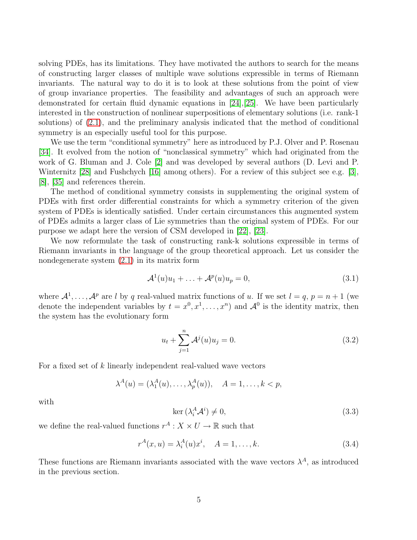solving PDEs, has its limitations. They have motivated the authors to search for the means of constructing larger classes of multiple wave solutions expressible in terms of Riemann invariants. The natural way to do it is to look at these solutions from the point of view of group invariance properties. The feasibility and advantages of such an approach were demonstrated for certain fluid dynamic equations in [\[24\]](#page-38-2),[\[25\]](#page-38-3). We have been particularly interested in the construction of nonlinear superpositions of elementary solutions (i.e. rank-1 solutions) of [\(2.1\)](#page-4-0), and the preliminary analysis indicated that the method of conditional symmetry is an especially useful tool for this purpose.

We use the term "conditional symmetry" here as introduced by P.J. Olver and P. Rosenau [\[34\]](#page-39-9). It evolved from the notion of "nonclassical symmetry" which had originated from the work of G. Bluman and J. Cole [\[2\]](#page-37-4) and was developed by several authors (D. Levi and P. Winternitz [\[28\]](#page-39-10) and Fushchych [\[16\]](#page-38-8) among others). For a review of this subject see e.g. [\[3\]](#page-37-5), [\[8\]](#page-37-6), [\[35\]](#page-39-11) and references therein.

The method of conditional symmetry consists in supplementing the original system of PDEs with first order differential constraints for which a symmetry criterion of the given system of PDEs is identically satisfied. Under certain circumstances this augmented system of PDEs admits a larger class of Lie symmetries than the original system of PDEs. For our purpose we adapt here the version of CSM developed in [\[22\]](#page-38-1), [\[23\]](#page-38-9).

We now reformulate the task of constructing rank-k solutions expressible in terms of Riemann invariants in the language of the group theoretical approach. Let us consider the nondegenerate system [\(2.1\)](#page-4-0) in its matrix form

<span id="page-7-0"></span>
$$
\mathcal{A}^1(u)u_1 + \ldots + \mathcal{A}^p(u)u_p = 0,
$$
\n(3.1)

where  $\mathcal{A}^1, \ldots, \mathcal{A}^p$  are l by q real-valued matrix functions of u. If we set  $l = q, p = n + 1$  (we denote the independent variables by  $t = x^0, x^1, \ldots, x^n$  and  $\mathcal{A}^0$  is the identity matrix, then the system has the evolutionary form

<span id="page-7-2"></span>
$$
u_t + \sum_{j=1}^{n} \mathcal{A}^j(u)u_j = 0.
$$
 (3.2)

For a fixed set of  $k$  linearly independent real-valued wave vectors

$$
\lambda^{A}(u) = (\lambda_1^{A}(u), \dots, \lambda_p^{A}(u)), \quad A = 1, \dots, k < p,
$$

with

<span id="page-7-1"></span>
$$
\ker\left(\lambda_i^A \mathcal{A}^i\right) \neq 0,\tag{3.3}
$$

we define the real-valued functions  $r^A: X \times U \to \mathbb{R}$  such that

$$
r^{A}(x, u) = \lambda_{i}^{A}(u)x^{i}, \quad A = 1, ..., k.
$$
 (3.4)

These functions are Riemann invariants associated with the wave vectors  $\lambda^A$ , as introduced in the previous section.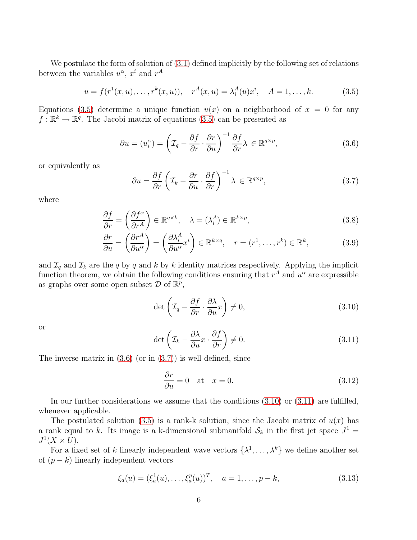We postulate the form of solution of  $(3.1)$  defined implicitly by the following set of relations between the variables  $u^{\alpha}$ ,  $x^{i}$  and  $r^{A}$ 

<span id="page-8-0"></span>
$$
u = f(r^{1}(x, u), \dots, r^{k}(x, u)), \quad r^{A}(x, u) = \lambda_{i}^{A}(u)x^{i}, \quad A = 1, \dots, k.
$$
 (3.5)

Equations [\(3.5\)](#page-8-0) determine a unique function  $u(x)$  on a neighborhood of  $x = 0$  for any  $f: \mathbb{R}^k \to \mathbb{R}^q$ . The Jacobi matrix of equations  $(3.5)$  can be presented as

<span id="page-8-1"></span>
$$
\partial u = (u_i^{\alpha}) = \left(\mathcal{I}_q - \frac{\partial f}{\partial r} \cdot \frac{\partial r}{\partial u}\right)^{-1} \frac{\partial f}{\partial r} \lambda \in \mathbb{R}^{q \times p},\tag{3.6}
$$

or equivalently as

<span id="page-8-2"></span>
$$
\partial u = \frac{\partial f}{\partial r} \left( \mathcal{I}_k - \frac{\partial r}{\partial u} \cdot \frac{\partial f}{\partial r} \right)^{-1} \lambda \in \mathbb{R}^{q \times p},\tag{3.7}
$$

where

<span id="page-8-5"></span>
$$
\frac{\partial f}{\partial r} = \left(\frac{\partial f^{\alpha}}{\partial r^A}\right) \in \mathbb{R}^{q \times k}, \quad \lambda = (\lambda_i^A) \in \mathbb{R}^{k \times p},\tag{3.8}
$$

$$
\frac{\partial r}{\partial u} = \left(\frac{\partial r^A}{\partial u^\alpha}\right) = \left(\frac{\partial \lambda_i^A}{\partial u^\alpha} x^i\right) \in \mathbb{R}^{k \times q}, \quad r = (r^1, \dots, r^k) \in \mathbb{R}^k,
$$
\n(3.9)

and  $\mathcal{I}_q$  and  $\mathcal{I}_k$  are the q by q and k by k identity matrices respectively. Applying the implicit function theorem, we obtain the following conditions ensuring that  $r^A$  and  $u^\alpha$  are expressible as graphs over some open subset  $D$  of  $\mathbb{R}^p$ ,

<span id="page-8-3"></span>
$$
\det\left(\mathcal{I}_q - \frac{\partial f}{\partial r} \cdot \frac{\partial \lambda}{\partial u}x\right) \neq 0,\tag{3.10}
$$

or

<span id="page-8-4"></span>
$$
\det\left(\mathcal{I}_k - \frac{\partial \lambda}{\partial u}x \cdot \frac{\partial f}{\partial r}\right) \neq 0. \tag{3.11}
$$

The inverse matrix in  $(3.6)$  (or in  $(3.7)$ ) is well defined, since

$$
\frac{\partial r}{\partial u} = 0 \quad \text{at} \quad x = 0. \tag{3.12}
$$

In our further considerations we assume that the conditions  $(3.10)$  or  $(3.11)$  are fulfilled, whenever applicable.

The postulated solution [\(3.5\)](#page-8-0) is a rank-k solution, since the Jacobi matrix of  $u(x)$  has a rank equal to k. Its image is a k-dimensional submanifold  $S_k$  in the first jet space  $J^1$  =  $J^1(X \times U)$ .

For a fixed set of k linearly independent wave vectors  $\{\lambda^1, \ldots, \lambda^k\}$  we define another set of  $(p - k)$  linearly independent vectors

$$
\xi_a(u) = (\xi_a^1(u), \dots, \xi_a^p(u))^T, \quad a = 1, \dots, p - k,
$$
\n(3.13)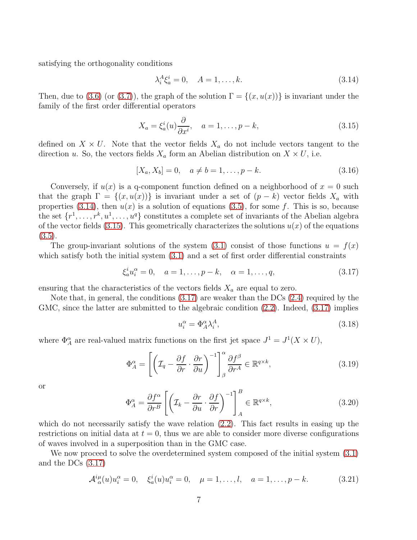satisfying the orthogonality conditions

<span id="page-9-0"></span>
$$
\lambda_i^A \xi_a^i = 0, \quad A = 1, \dots, k. \tag{3.14}
$$

Then, due to [\(3.6\)](#page-8-1) (or [\(3.7\)](#page-8-2)), the graph of the solution  $\Gamma = \{(x, u(x))\}$  is invariant under the family of the first order differential operators

<span id="page-9-1"></span>
$$
X_a = \xi_a^i(u) \frac{\partial}{\partial x^i}, \quad a = 1, \dots, p - k,\tag{3.15}
$$

defined on  $X \times U$ . Note that the vector fields  $X_a$  do not include vectors tangent to the direction u. So, the vectors fields  $X_a$  form an Abelian distribution on  $X \times U$ , i.e.

$$
[X_a, X_b] = 0, \quad a \neq b = 1, \dots, p - k. \tag{3.16}
$$

Conversely, if  $u(x)$  is a q-component function defined on a neighborhood of  $x = 0$  such that the graph  $\Gamma = \{(x, u(x))\}$  is invariant under a set of  $(p - k)$  vector fields  $X_a$  with properties [\(3.14\)](#page-9-0), then  $u(x)$  is a solution of equations [\(3.5\)](#page-8-0), for some f. This is so, because the set  $\{r^1, \ldots, r^k, u^1, \ldots, u^q\}$  constitutes a complete set of invariants of the Abelian algebra of the vector fields [\(3.15\)](#page-9-1). This geometrically characterizes the solutions  $u(x)$  of the equations  $(3.5).$  $(3.5).$ 

The group-invariant solutions of the system  $(3.1)$  consist of those functions  $u = f(x)$ which satisfy both the initial system  $(3.1)$  and a set of first order differential constraints

<span id="page-9-2"></span>
$$
\xi_a^i u_i^{\alpha} = 0, \quad a = 1, \dots, p - k, \quad \alpha = 1, \dots, q,
$$
\n(3.17)

ensuring that the characteristics of the vectors fields  $X_a$  are equal to zero.

Note that, in general, the conditions [\(3.17\)](#page-9-2) are weaker than the DCs [\(2.4\)](#page-4-1) required by the GMC, since the latter are submitted to the algebraic condition  $(2.2)$ . Indeed,  $(3.17)$  implies

$$
u_i^{\alpha} = \Phi_A^{\alpha} \lambda_i^A, \tag{3.18}
$$

where  $\Phi_A^{\alpha}$  are real-valued matrix functions on the first jet space  $J^1 = J^1(X \times U)$ ,

$$
\Phi_A^{\alpha} = \left[ \left( \mathcal{I}_q - \frac{\partial f}{\partial r} \cdot \frac{\partial r}{\partial u} \right)^{-1} \right]_{\beta}^{\alpha} \frac{\partial f^{\beta}}{\partial r^A} \in \mathbb{R}^{q \times k},\tag{3.19}
$$

or

$$
\Phi_A^{\alpha} = \frac{\partial f^{\alpha}}{\partial r^B} \left[ \left( \mathcal{I}_k - \frac{\partial r}{\partial u} \cdot \frac{\partial f}{\partial r} \right)^{-1} \right]_A^B \in \mathbb{R}^{q \times k},\tag{3.20}
$$

which do not necessarily satisfy the wave relation  $(2.2)$ . This fact results in easing up the restrictions on initial data at  $t = 0$ , thus we are able to consider more diverse configurations of waves involved in a superposition than in the GMC case.

We now proceed to solve the overdetermined system composed of the initial system  $(3.1)$ and the DCs [\(3.17\)](#page-9-2)

<span id="page-9-3"></span>
$$
\mathcal{A}^{i\mu}_{\alpha}(u)u_i^{\alpha} = 0, \quad \xi_a^i(u)u_i^{\alpha} = 0, \quad \mu = 1, \dots, l, \quad a = 1, \dots, p - k. \tag{3.21}
$$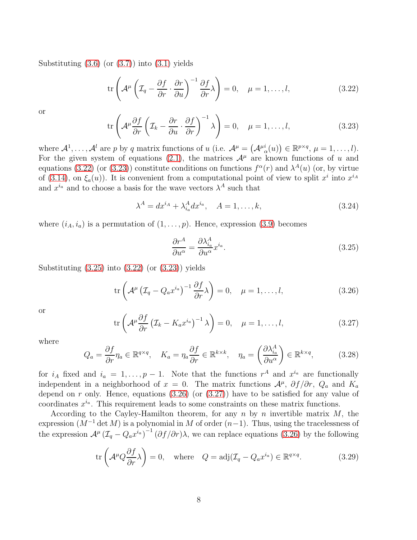Substituting  $(3.6)$  (or  $(3.7)$ ) into  $(3.1)$  yields

<span id="page-10-0"></span>
$$
\operatorname{tr}\left(\mathcal{A}^{\mu}\left(\mathcal{I}_{q}-\frac{\partial f}{\partial r}\cdot\frac{\partial r}{\partial u}\right)^{-1}\frac{\partial f}{\partial r}\lambda\right)=0, \quad \mu=1,\ldots,l,\tag{3.22}
$$

or

<span id="page-10-1"></span>
$$
\operatorname{tr}\left(\mathcal{A}^{\mu}\frac{\partial f}{\partial r}\left(\mathcal{I}_{k}-\frac{\partial r}{\partial u}\cdot\frac{\partial f}{\partial r}\right)^{-1}\lambda\right)=0, \quad \mu=1,\ldots,l,\tag{3.23}
$$

where  $\mathcal{A}^1, \ldots, \mathcal{A}^l$  are p by q matrix functions of u (i.e.  $\mathcal{A}^\mu = (\mathcal{A}^{\mu}_{\alpha}(u)) \in \mathbb{R}^{p \times q}, \mu = 1, \ldots, l$ ). For the given system of equations [\(2.1\)](#page-4-0), the matrices  $\mathcal{A}^{\mu}$  are known functions of u and equations [\(3.22\)](#page-10-0) (or [\(3.23\)](#page-10-1)) constitute conditions on functions  $f^{\alpha}(r)$  and  $\lambda^{A}(u)$  (or, by virtue of [\(3.14\)](#page-9-0), on  $\xi_a(u)$ ). It is convenient from a computational point of view to split  $x^i$  into  $x^{i_A}$ and  $x^{i_a}$  and to choose a basis for the wave vectors  $\lambda^A$  such that

<span id="page-10-6"></span>
$$
\lambda^A = dx^{i_A} + \lambda^A_{i_a} dx^{i_a}, \quad A = 1, \dots, k,
$$
\n
$$
(3.24)
$$

where  $(i_A, i_a)$  is a permutation of  $(1, \ldots, p)$ . Hence, expression [\(3.9\)](#page-8-5) becomes

<span id="page-10-2"></span>
$$
\frac{\partial r^A}{\partial u^\alpha} = \frac{\partial \lambda_{i_a}^A}{\partial u^\alpha} x^{i_a}.
$$
\n(3.25)

Substituting  $(3.25)$  into  $(3.22)$  (or  $(3.23)$ ) yields

<span id="page-10-3"></span>
$$
\operatorname{tr}\left(\mathcal{A}^{\mu}\left(\mathcal{I}_{q}-Q_{a}x^{i_{a}}\right)^{-1}\frac{\partial f}{\partial r}\lambda\right)=0, \quad \mu=1,\ldots,l,\tag{3.26}
$$

or

<span id="page-10-4"></span>
$$
\operatorname{tr}\left(\mathcal{A}^{\mu}\frac{\partial f}{\partial r}\left(\mathcal{I}_{k}-K_{a}x^{i_{a}}\right)^{-1}\lambda\right)=0, \quad \mu=1,\ldots,l,\tag{3.27}
$$

where

<span id="page-10-7"></span>
$$
Q_a = \frac{\partial f}{\partial r} \eta_a \in \mathbb{R}^{q \times q}, \quad K_a = \eta_a \frac{\partial f}{\partial r} \in \mathbb{R}^{k \times k}, \quad \eta_a = \left(\frac{\partial \lambda_{i_a}^A}{\partial u^\alpha}\right) \in \mathbb{R}^{k \times q}, \tag{3.28}
$$

for  $i_A$  fixed and  $i_a = 1, \ldots, p-1$ . Note that the functions  $r^A$  and  $x^{i_a}$  are functionally independent in a neighborhood of  $x = 0$ . The matrix functions  $\mathcal{A}^{\mu}$ ,  $\partial f/\partial r$ ,  $Q_a$  and  $K_a$ depend on  $r$  only. Hence, equations  $(3.26)$  (or  $(3.27)$ ) have to be satisfied for any value of coordinates  $x^{i_a}$ . This requirement leads to some constraints on these matrix functions.

According to the Cayley-Hamilton theorem, for any  $n$  by  $n$  invertible matrix  $M$ , the expression  $(M^{-1} \det M)$  is a polynomial in M of order  $(n-1)$ . Thus, using the tracelessness of the expression  $\mathcal{A}^{\mu}(\mathcal{I}_q - Q_a x^{i_a})^{-1}(\partial f/\partial r)\lambda$ , we can replace equations [\(3.26\)](#page-10-3) by the following

<span id="page-10-5"></span>
$$
\operatorname{tr}\left(\mathcal{A}^{\mu}Q\frac{\partial f}{\partial r}\lambda\right) = 0, \quad \text{where} \quad Q = \operatorname{adj}(\mathcal{I}_q - Q_a x^{i_a}) \in \mathbb{R}^{q \times q}.\tag{3.29}
$$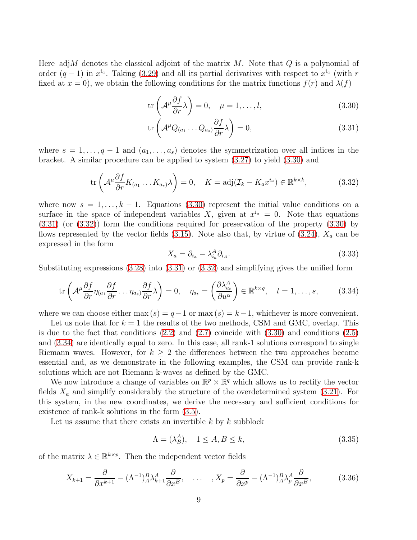Here adj $M$  denotes the classical adjoint of the matrix  $M$ . Note that  $Q$  is a polynomial of order  $(q-1)$  in  $x^{i_q}$ . Taking [\(3.29\)](#page-10-5) and all its partial derivatives with respect to  $x^{i_q}$  (with r fixed at  $x = 0$ , we obtain the following conditions for the matrix functions  $f(r)$  and  $\lambda(f)$ 

<span id="page-11-0"></span>
$$
\operatorname{tr}\left(\mathcal{A}^{\mu}\frac{\partial f}{\partial r}\lambda\right) = 0, \quad \mu = 1, \dots, l,\tag{3.30}
$$

$$
\operatorname{tr}\left(\mathcal{A}^{\mu}Q_{(a_1}\dots Q_{a_s)}\frac{\partial f}{\partial r}\lambda\right) = 0, \tag{3.31}
$$

where  $s = 1, \ldots, q-1$  and  $(a_1, \ldots, a_s)$  denotes the symmetrization over all indices in the bracket. A similar procedure can be applied to system [\(3.27\)](#page-10-4) to yield [\(3.30\)](#page-11-0) and

<span id="page-11-1"></span>
$$
\operatorname{tr}\left(\mathcal{A}^{\mu}\frac{\partial f}{\partial r}K_{(a_1}\dots K_{a_s})\lambda\right) = 0, \quad K = \operatorname{adj}(\mathcal{I}_k - K_a x^{i_a}) \in \mathbb{R}^{k \times k},\tag{3.32}
$$

where now  $s = 1, \ldots, k - 1$ . Equations [\(3.30\)](#page-11-0) represent the initial value conditions on a surface in the space of independent variables X, given at  $x^{i_a} = 0$ . Note that equations [\(3.31\)](#page-11-0) (or [\(3.32\)](#page-11-1)) form the conditions required for preservation of the property [\(3.30\)](#page-11-0) by flows represented by the vector fields  $(3.15)$ . Note also that, by virtue of  $(3.24)$ ,  $X_a$  can be expressed in the form

$$
X_a = \partial_{i_a} - \lambda_{i_a}^A \partial_{i_A}.\tag{3.33}
$$

Substituting expressions [\(3.28\)](#page-10-7) into [\(3.31\)](#page-11-0) or [\(3.32\)](#page-11-1) and simplifying gives the unified form

<span id="page-11-2"></span>
$$
\operatorname{tr}\left(\mathcal{A}^{\mu}\frac{\partial f}{\partial r}\eta_{(a_1}\frac{\partial f}{\partial r}\dots\eta_{a_s)}\frac{\partial f}{\partial r}\lambda\right) = 0, \quad \eta_{a_t} = \left(\frac{\partial\lambda_{a_t}^A}{\partial u^{\alpha}}\right) \in \mathbb{R}^{k \times q}, \quad t = 1, \dots, s,
$$
 (3.34)

where we can choose either max  $(s) = q-1$  or max  $(s) = k-1$ , whichever is more convenient.

Let us note that for  $k = 1$  the results of the two methods, CSM and GMC, overlap. This is due to the fact that conditions  $(2.2)$  and  $(2.7)$  coincide with  $(3.30)$  and conditions  $(2.5)$ and [\(3.34\)](#page-11-2) are identically equal to zero. In this case, all rank-1 solutions correspond to single Riemann waves. However, for  $k \geq 2$  the differences between the two approaches become essential and, as we demonstrate in the following examples, the CSM can provide rank-k solutions which are not Riemann k-waves as defined by the GMC.

We now introduce a change of variables on  $\mathbb{R}^p \times \mathbb{R}^q$  which allows us to rectify the vector fields  $X_a$  and simplify considerably the structure of the overdetermined system [\(3.21\)](#page-9-3). For this system, in the new coordinates, we derive the necessary and sufficient conditions for existence of rank-k solutions in the form [\(3.5\)](#page-8-0).

Let us assume that there exists an invertible  $k$  by  $k$  subblock

<span id="page-11-4"></span>
$$
\Lambda = (\lambda_B^A), \quad 1 \le A, B \le k,\tag{3.35}
$$

of the matrix  $\lambda \in \mathbb{R}^{k \times p}$ . Then the independent vector fields

<span id="page-11-3"></span>
$$
X_{k+1} = \frac{\partial}{\partial x^{k+1}} - (\Lambda^{-1})^B_A \lambda^A_{k+1} \frac{\partial}{\partial x^B}, \quad \dots \quad , X_p = \frac{\partial}{\partial x^p} - (\Lambda^{-1})^B_A \lambda^A_p \frac{\partial}{\partial x^B}, \tag{3.36}
$$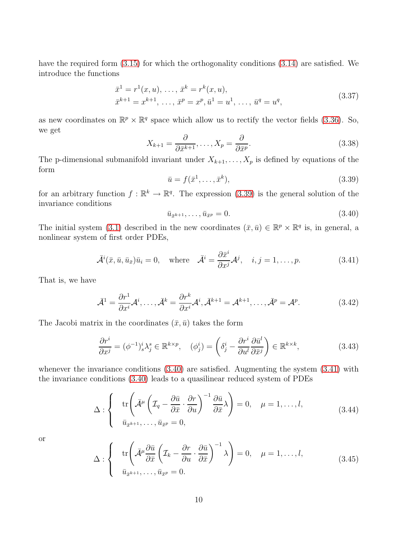have the required form  $(3.15)$  for which the orthogonality conditions  $(3.14)$  are satisfied. We introduce the functions

$$
\bar{x}^1 = r^1(x, u), \dots, \bar{x}^k = r^k(x, u), \n\bar{x}^{k+1} = x^{k+1}, \dots, \bar{x}^p = x^p, \bar{u}^1 = u^1, \dots, \bar{u}^q = u^q,
$$
\n(3.37)

as new coordinates on  $\mathbb{R}^p \times \mathbb{R}^q$  space which allow us to rectify the vector fields [\(3.36\)](#page-11-3). So, we get

<span id="page-12-4"></span>
$$
X_{k+1} = \frac{\partial}{\partial \bar{x}^{k+1}}, \dots, X_p = \frac{\partial}{\partial \bar{x}^p}.
$$
\n(3.38)

The p-dimensional submanifold invariant under  $X_{k+1}, \ldots, X_p$  is defined by equations of the form

<span id="page-12-0"></span>
$$
\bar{u} = f(\bar{x}^1, \dots, \bar{x}^k),\tag{3.39}
$$

for an arbitrary function  $f : \mathbb{R}^k \to \mathbb{R}^q$ . The expression [\(3.39\)](#page-12-0) is the general solution of the invariance conditions

<span id="page-12-1"></span>
$$
\bar{u}_{\bar{x}^{k+1}}, \dots, \bar{u}_{\bar{x}^p} = 0. \tag{3.40}
$$

The initial system [\(3.1\)](#page-7-0) described in the new coordinates  $(\bar{x}, \bar{u}) \in \mathbb{R}^p \times \mathbb{R}^q$  is, in general, a nonlinear system of first order PDEs,

<span id="page-12-2"></span>
$$
\bar{\mathcal{A}}^i(\bar{x}, \bar{u}, \bar{u}_{\bar{x}}) \bar{u}_i = 0, \quad \text{where} \quad \bar{\mathcal{A}}^i = \frac{\partial \bar{x}^i}{\partial x^j} \mathcal{A}^j, \quad i, j = 1, \dots, p. \tag{3.41}
$$

That is, we have

$$
\bar{\mathcal{A}}^1 = \frac{\partial r^1}{\partial x^i} \mathcal{A}^i, \dots, \bar{\mathcal{A}}^k = \frac{\partial r^k}{\partial x^i} \mathcal{A}^i, \bar{\mathcal{A}}^{k+1} = \mathcal{A}^{k+1}, \dots, \bar{\mathcal{A}}^p = \mathcal{A}^p.
$$
 (3.42)

The Jacobi matrix in the coordinates  $(\bar{x}, \bar{u})$  takes the form

$$
\frac{\partial r^i}{\partial x^j} = (\phi^{-1})^i_s \lambda^s_j \in \mathbb{R}^{k \times p}, \quad (\phi^i_j) = \left(\delta^i_j - \frac{\partial r^i}{\partial u^l} \frac{\partial \bar{u}^l}{\partial \bar{x}^j}\right) \in \mathbb{R}^{k \times k},\tag{3.43}
$$

whenever the invariance conditions  $(3.40)$  are satisfied. Augmenting the system  $(3.41)$  with the invariance conditions [\(3.40\)](#page-12-1) leads to a quasilinear reduced system of PDEs

<span id="page-12-3"></span>
$$
\Delta : \begin{cases} \operatorname{tr} \left( \bar{\mathcal{A}}^{\mu} \left( \mathcal{I}_{q} - \frac{\partial \bar{u}}{\partial \bar{x}} \cdot \frac{\partial r}{\partial u} \right)^{-1} \frac{\partial \bar{u}}{\partial \bar{x}} \lambda \right) = 0, \quad \mu = 1, \dots, l, \\ \bar{u}_{\bar{x}^{k+1}}, \dots, \bar{u}_{\bar{x}^p} = 0, \end{cases}
$$
 (3.44)

or

<span id="page-12-5"></span>
$$
\Delta : \begin{cases} \operatorname{tr} \left( \bar{\mathcal{A}}^{\mu} \frac{\partial \bar{u}}{\partial \bar{x}} \left( \mathcal{I}_{k} - \frac{\partial r}{\partial u} \cdot \frac{\partial \bar{u}}{\partial \bar{x}} \right)^{-1} \lambda \right) = 0, \quad \mu = 1, \dots, l, \\ \bar{u}_{\bar{x}^{k+1}}, \dots, \bar{u}_{\bar{x}^p} = 0. \end{cases}
$$
 (3.45)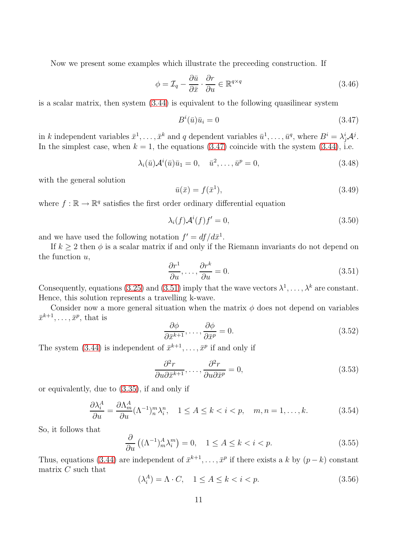Now we present some examples which illustrate the preceeding construction. If

$$
\phi = \mathcal{I}_q - \frac{\partial \bar{u}}{\partial \bar{x}} \cdot \frac{\partial r}{\partial u} \in \mathbb{R}^{q \times q} \tag{3.46}
$$

is a scalar matrix, then system [\(3.44\)](#page-12-3) is equivalent to the following quasilinear system

<span id="page-13-0"></span>
$$
B^i(\bar{u})\bar{u}_i = 0\tag{3.47}
$$

in k independent variables  $\bar{x}^1, \ldots, \bar{x}^k$  and q dependent variables  $\bar{u}^1, \ldots, \bar{u}^q$ , where  $B^i = \lambda^i_j A^j$ . In the simplest case, when  $k = 1$ , the equations [\(3.47\)](#page-13-0) coincide with the system [\(3.44\)](#page-12-3), i.e.

$$
\lambda_i(\bar{u})\mathcal{A}^i(\bar{u})\bar{u}_1 = 0, \quad \bar{u}^2, \dots, \bar{u}^p = 0,
$$
\n(3.48)

with the general solution

$$
\bar{u}(\bar{x}) = f(\bar{x}^1),\tag{3.49}
$$

where  $f : \mathbb{R} \to \mathbb{R}^q$  satisfies the first order ordinary differential equation

$$
\lambda_i(f)\mathcal{A}^i(f)f' = 0,\tag{3.50}
$$

and we have used the following notation  $f' = df/d\bar{x}^1$ .

If  $k \geq 2$  then  $\phi$  is a scalar matrix if and only if the Riemann invariants do not depend on the function  $u$ ,

<span id="page-13-1"></span>
$$
\frac{\partial r^1}{\partial u}, \dots, \frac{\partial r^k}{\partial u} = 0.
$$
\n(3.51)

Consequently, equations [\(3.25\)](#page-10-2) and [\(3.51\)](#page-13-1) imply that the wave vectors  $\lambda^1, \ldots, \lambda^k$  are constant. Hence, this solution represents a travelling k-wave.

Consider now a more general situation when the matrix  $\phi$  does not depend on variables  $\bar{x}^{k+1}, \ldots, \bar{x}^p$ , that is

$$
\frac{\partial \phi}{\partial \bar{x}^{k+1}}, \dots, \frac{\partial \phi}{\partial \bar{x}^p} = 0.
$$
\n(3.52)

The system [\(3.44\)](#page-12-3) is independent of  $\bar{x}^{k+1}, \ldots, \bar{x}^p$  if and only if

$$
\frac{\partial^2 r}{\partial u \partial \bar{x}^{k+1}}, \dots, \frac{\partial^2 r}{\partial u \partial \bar{x}^p} = 0,
$$
\n(3.53)

or equivalently, due to [\(3.35\)](#page-11-4), if and only if

$$
\frac{\partial \lambda_i^A}{\partial u} = \frac{\partial \Lambda_m^A}{\partial u} (\Lambda^{-1})_n^m \lambda_i^n, \quad 1 \le A \le k < i < p, \quad m, n = 1, \dots, k. \tag{3.54}
$$

So, it follows that

$$
\frac{\partial}{\partial u} \left( (\Lambda^{-1})^A_m \lambda^m_i \right) = 0, \quad 1 \le A \le k < i < p. \tag{3.55}
$$

Thus, equations [\(3.44\)](#page-12-3) are independent of  $\bar{x}^{k+1}, \ldots, \bar{x}^p$  if there exists a k by  $(p-k)$  constant matrix C such that

$$
(\lambda_i^A) = \Lambda \cdot C, \quad 1 \le A \le k < i < p. \tag{3.56}
$$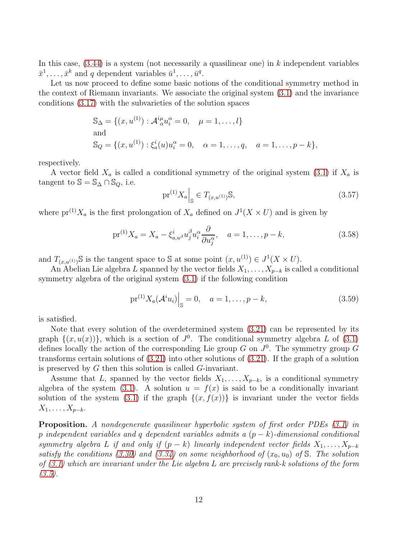In this case,  $(3.44)$  is a system (not necessarily a quasilinear one) in k independent variables  $\bar{x}^1, \ldots, \bar{x}^k$  and q dependent variables  $\bar{u}^1, \ldots, \bar{u}^q$ .

Let us now proceed to define some basic notions of the conditional symmetry method in the context of Riemann invariants. We associate the original system [\(3.1\)](#page-7-0) and the invariance conditions [\(3.17\)](#page-9-2) with the subvarieties of the solution spaces

$$
S_{\Delta} = \{(x, u^{(1)}) : \mathcal{A}_{\alpha}^{i\mu} u_i^{\alpha} = 0, \quad \mu = 1, ..., l\}
$$
  
and  

$$
S_Q = \{(x, u^{(1)}) : \xi_a^i(u) u_i^{\alpha} = 0, \quad \alpha = 1, ..., q, \quad a = 1, ..., p - k\},
$$

respectively.

A vector field  $X_a$  is called a conditional symmetry of the original system [\(3.1\)](#page-7-0) if  $X_a$  is tangent to  $\mathbb{S} = \mathbb{S}_{\Delta} \cap \mathbb{S}_{Q}$ , i.e.

$$
\text{pr}^{(1)}X_a \Big|_{\mathbb{S}} \in T_{(x, u^{(1)})} \mathbb{S},\tag{3.57}
$$

where  $pr^{(1)}X_a$  is the first prolongation of  $X_a$  defined on  $J^1(X \times U)$  and is given by

$$
\text{pr}^{(1)}X_a = X_a - \xi_{a,w}^i u_j^\beta u_i^\alpha \frac{\partial}{\partial u_j^\alpha}, \quad a = 1, \dots, p - k,\tag{3.58}
$$

and  $T_{(x,u^{(1)})}$ S is the tangent space to S at some point  $(x, u^{(1)}) \in J^1(X \times U)$ .

An Abelian Lie algebra L spanned by the vector fields  $X_1, \ldots, X_{p-k}$  is called a conditional symmetry algebra of the original system [\(3.1\)](#page-7-0) if the following condition

<span id="page-14-0"></span>
$$
\text{pr}^{(1)} X_a (\mathcal{A}^i u_i) \Big|_{\mathbb{S}} = 0, \quad a = 1, \dots, p - k,
$$
\n(3.59)

is satisfied.

Note that every solution of the overdetermined system [\(3.21\)](#page-9-3) can be represented by its graph  $\{(x, u(x))\}$ , which is a section of  $J^0$ . The conditional symmetry algebra L of [\(3.1\)](#page-7-0) defines locally the action of the corresponding Lie group  $G$  on  $J^0$ . The symmetry group  $G$ transforms certain solutions of [\(3.21\)](#page-9-3) into other solutions of [\(3.21\)](#page-9-3). If the graph of a solution is preserved by  $G$  then this solution is called  $G$ -invariant.

Assume that L, spanned by the vector fields  $X_1, \ldots, X_{p-k}$ , is a conditional symmetry algebra of the system [\(3.1\)](#page-7-0). A solution  $u = f(x)$  is said to be a conditionally invariant solution of the system [\(3.1\)](#page-7-0) if the graph  $\{(x, f(x))\}$  is invariant under the vector fields  $X_1, \ldots, X_{p-k}.$ 

**Proposition.** A nondegenerate quasilinear hyperbolic system of first order PDEs [\(3.1\)](#page-7-0) in p independent variables and q dependent variables admits a  $(p - k)$ -dimensional conditional symmetry algebra L if and only if  $(p - k)$  linearly independent vector fields  $X_1, \ldots, X_{p-k}$ satisfy the conditions [\(3.30\)](#page-11-0) and [\(3.34\)](#page-11-2) on some neighborhood of  $(x_0, u_0)$  of S. The solution of  $(3.1)$  which are invariant under the Lie algebra L are precisely rank-k solutions of the form  $(3.5).$  $(3.5).$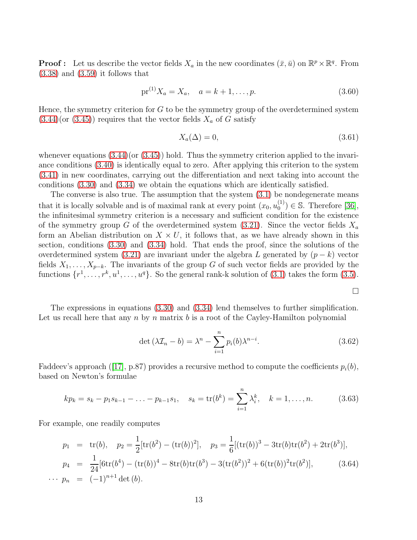**Proof**: Let us describe the vector fields  $X_a$  in the new coordinates  $(\bar{x}, \bar{u})$  on  $\mathbb{R}^p \times \mathbb{R}^q$ . From  $(3.38)$  and  $(3.59)$  it follows that

$$
pr^{(1)}X_a = X_a, \quad a = k+1, \dots, p. \tag{3.60}
$$

Hence, the symmetry criterion for  $G$  to be the symmetry group of the overdetermined system  $(3.44)(or (3.45))$  $(3.44)(or (3.45))$  $(3.44)(or (3.45))$  $(3.44)(or (3.45))$  requires that the vector fields  $X_a$  of G satisfy

$$
X_a(\Delta) = 0,\t\t(3.61)
$$

whenever equations  $(3.44)(\text{or } (3.45))$  $(3.44)(\text{or } (3.45))$  $(3.44)(\text{or } (3.45))$  hold. Thus the symmetry criterion applied to the invariance conditions [\(3.40\)](#page-12-1) is identically equal to zero. After applying this criterion to the system [\(3.41\)](#page-12-2) in new coordinates, carrying out the differentiation and next taking into account the conditions [\(3.30\)](#page-11-0) and [\(3.34\)](#page-11-2) we obtain the equations which are identically satisfied.

The converse is also true. The assumption that the system  $(3.1)$  be nondegenerate means that it is locally solvable and is of maximal rank at every point  $(x_0, u_0^{(1)})$  $\binom{1}{0}$   $\in$  S. Therefore [\[36\]](#page-39-12), the infinitesimal symmetry criterion is a necessary and sufficient condition for the existence of the symmetry group G of the overdetermined system  $(3.21)$ . Since the vector fields  $X_a$ form an Abelian distribution on  $X \times U$ , it follows that, as we have already shown in this section, conditions [\(3.30\)](#page-11-0) and [\(3.34\)](#page-11-2) hold. That ends the proof, since the solutions of the overdetermined system [\(3.21\)](#page-9-3) are invariant under the algebra L generated by  $(p - k)$  vector fields  $X_1, \ldots, X_{p-k}$ . The invariants of the group G of such vector fields are provided by the functions  $\{r^1, \ldots, r^k, u^1, \ldots, u^q\}$ . So the general rank-k solution of [\(3.1\)](#page-7-0) takes the form [\(3.5\)](#page-8-0).

 $\Box$ 

The expressions in equations [\(3.30\)](#page-11-0) and [\(3.34\)](#page-11-2) lend themselves to further simplification. Let us recall here that any n by n matrix b is a root of the Cayley-Hamilton polynomial

$$
\det\left(\lambda \mathcal{I}_n - b\right) = \lambda^n - \sum_{i=1}^n p_i(b)\lambda^{n-i}.\tag{3.62}
$$

Faddeev'sapproach ([\[17\]](#page-38-10), p.87) provides a recursive method to compute the coefficients  $p_i(b)$ , based on Newton's formulae

$$
kp_k = s_k - p_1 s_{k-1} - \ldots - p_{k-1} s_1, \quad s_k = \text{tr}(b^k) = \sum_{i=1}^n \lambda_i^k, \quad k = 1, \ldots, n. \tag{3.63}
$$

For example, one readily computes

<span id="page-15-0"></span>
$$
p_1 = \text{tr}(b), \quad p_2 = \frac{1}{2}[\text{tr}(b^2) - (\text{tr}(b))^2], \quad p_3 = \frac{1}{6}[(\text{tr}(b))^3 - 3\text{tr}(b)\text{tr}(b^2) + 2\text{tr}(b^3)],
$$
  
\n
$$
p_4 = \frac{1}{24}[\text{6tr}(b^4) - (\text{tr}(b))^4 - 8\text{tr}(b)\text{tr}(b^3) - 3(\text{tr}(b^2))^2 + 6(\text{tr}(b))^2\text{tr}(b^2)], \quad (3.64)
$$
  
\n
$$
\cdots p_n = (-1)^{n+1} \det(b).
$$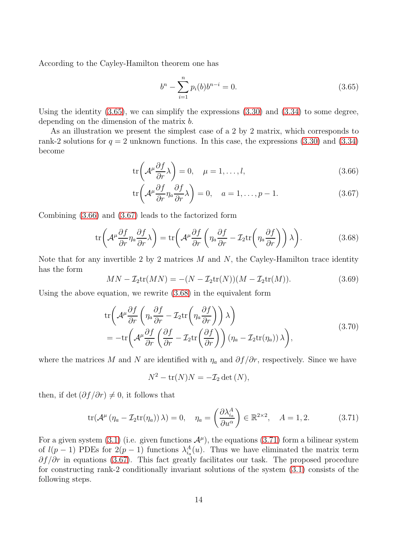According to the Cayley-Hamilton theorem one has

<span id="page-16-0"></span>
$$
b^{n} - \sum_{i=1}^{n} p_{i}(b)b^{n-i} = 0.
$$
\n(3.65)

Using the identity [\(3.65\)](#page-16-0), we can simplify the expressions [\(3.30\)](#page-11-0) and [\(3.34\)](#page-11-2) to some degree, depending on the dimension of the matrix b.

As an illustration we present the simplest case of a 2 by 2 matrix, which corresponds to rank-2 solutions for  $q = 2$  unknown functions. In this case, the expressions [\(3.30\)](#page-11-0) and [\(3.34\)](#page-11-2) become

<span id="page-16-1"></span>
$$
\text{tr}\left(\mathcal{A}^{\mu}\frac{\partial f}{\partial r}\lambda\right) = 0, \quad \mu = 1, \dots, l,
$$
\n(3.66)

$$
\text{tr}\left(\mathcal{A}^{\mu}\frac{\partial f}{\partial r}\eta_a \frac{\partial f}{\partial r}\lambda\right) = 0, \quad a = 1, \dots, p-1.
$$
 (3.67)

Combining [\(3.66\)](#page-16-1) and [\(3.67\)](#page-16-1) leads to the factorized form

<span id="page-16-2"></span>
$$
\text{tr}\left(\mathcal{A}^{\mu}\frac{\partial f}{\partial r}\eta_{a}\frac{\partial f}{\partial r}\lambda\right) = \text{tr}\left(\mathcal{A}^{\mu}\frac{\partial f}{\partial r}\left(\eta_{a}\frac{\partial f}{\partial r} - \mathcal{I}_{2}\text{tr}\left(\eta_{a}\frac{\partial f}{\partial r}\right)\right)\lambda\right).
$$
 (3.68)

Note that for any invertible 2 by 2 matrices  $M$  and  $N$ , the Cayley-Hamilton trace identity has the form

$$
MN - \mathcal{I}_2 \text{tr}(MN) = -(N - \mathcal{I}_2 \text{tr}(N))(M - \mathcal{I}_2 \text{tr}(M)).
$$
\n(3.69)

Using the above equation, we rewrite [\(3.68\)](#page-16-2) in the equivalent form

$$
\text{tr}\left(\mathcal{A}^{\mu}\frac{\partial f}{\partial r}\left(\eta_a \frac{\partial f}{\partial r} - \mathcal{I}_2 \text{tr}\left(\eta_a \frac{\partial f}{\partial r}\right)\right)\lambda\right) \n= -\text{tr}\left(\mathcal{A}^{\mu}\frac{\partial f}{\partial r}\left(\frac{\partial f}{\partial r} - \mathcal{I}_2 \text{tr}\left(\frac{\partial f}{\partial r}\right)\right)(\eta_a - \mathcal{I}_2 \text{tr}(\eta_a))\lambda\right),
$$
\n(3.70)

where the matrices M and N are identified with  $\eta_a$  and  $\partial f/\partial r$ , respectively. Since we have

$$
N^2 - \operatorname{tr}(N)N = -\mathcal{I}_2 \det(N),
$$

then, if det  $(\partial f/\partial r) \neq 0$ , it follows that

<span id="page-16-3"></span>
$$
\text{tr}(\mathcal{A}^{\mu}(\eta_a - \mathcal{I}_2 \text{tr}(\eta_a))\lambda) = 0, \quad \eta_a = \left(\frac{\partial \lambda_{i_a}^A}{\partial u^{\alpha}}\right) \in \mathbb{R}^{2 \times 2}, \quad A = 1, 2. \tag{3.71}
$$

For a given system [\(3.1\)](#page-7-0) (i.e. given functions  $\mathcal{A}^{\mu}$ ), the equations [\(3.71\)](#page-16-3) form a bilinear system of  $l(p-1)$  PDEs for  $2(p-1)$  functions  $\lambda_{i_a}^A(u)$ . Thus we have eliminated the matrix term  $\partial f/\partial r$  in equations [\(3.67\)](#page-16-1). This fact greatly facilitates our task. The proposed procedure for constructing rank-2 conditionally invariant solutions of the system [\(3.1\)](#page-7-0) consists of the following steps.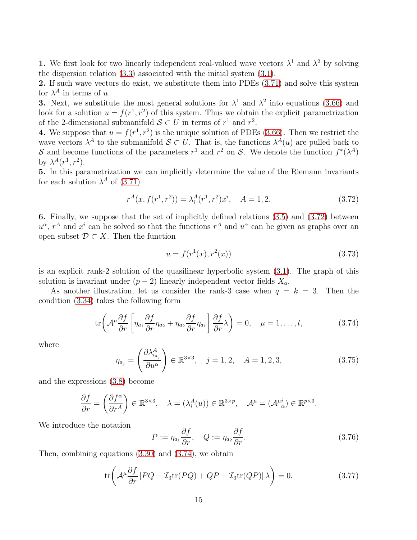1. We first look for two linearly independent real-valued wave vectors  $\lambda^1$  and  $\lambda^2$  by solving the dispersion relation [\(3.3\)](#page-7-1) associated with the initial system [\(3.1\)](#page-7-0).

2. If such wave vectors do exist, we substitute them into PDEs [\(3.71\)](#page-16-3) and solve this system for  $\lambda^A$  in terms of u.

**3.** Next, we substitute the most general solutions for  $\lambda^1$  and  $\lambda^2$  into equations [\(3.66\)](#page-16-1) and look for a solution  $u = f(r^1, r^2)$  of this system. Thus we obtain the explicit parametrization of the 2-dimensional submanifold  $S \subset U$  in terms of  $r<sup>1</sup>$  and  $r<sup>2</sup>$ .

4. We suppose that  $u = f(r^1, r^2)$  is the unique solution of PDEs [\(3.66\)](#page-16-1). Then we restrict the wave vectors  $\lambda^A$  to the submanifold  $\mathcal{S} \subset U$ . That is, the functions  $\lambda^A(u)$  are pulled back to S and become functions of the parameters  $r^1$  and  $r^2$  on S. We denote the function  $f^*(\lambda^A)$ by  $\lambda^A(r^1,r^2)$ .

5. In this parametrization we can implicitly determine the value of the Riemann invariants for each solution  $\lambda^A$  of [\(3.71\)](#page-16-3)

<span id="page-17-0"></span>
$$
r^{A}(x, f(r^{1}, r^{2})) = \lambda_{i}^{A}(r^{1}, r^{2})x^{i}, \quad A = 1, 2.
$$
 (3.72)

6. Finally, we suppose that the set of implicitly defined relations [\(3.5\)](#page-8-0) and [\(3.72\)](#page-17-0) between  $u^{\alpha}$ ,  $r^A$  and  $x^i$  can be solved so that the functions  $r^A$  and  $u^{\alpha}$  can be given as graphs over an open subset  $\mathcal{D} \subset X$ . Then the function

$$
u = f(r^{1}(x), r^{2}(x))
$$
\n(3.73)

is an explicit rank-2 solution of the quasilinear hyperbolic system [\(3.1\)](#page-7-0). The graph of this solution is invariant under  $(p-2)$  linearly independent vector fields  $X_a$ .

As another illustration, let us consider the rank-3 case when  $q = k = 3$ . Then the condition [\(3.34\)](#page-11-2) takes the following form

<span id="page-17-1"></span>
$$
\text{tr}\left(\mathcal{A}^{\mu}\frac{\partial f}{\partial r}\left[\eta_{a_1}\frac{\partial f}{\partial r}\eta_{a_2} + \eta_{a_2}\frac{\partial f}{\partial r}\eta_{a_1}\right]\frac{\partial f}{\partial r}\lambda\right) = 0, \quad \mu = 1, \dots, l,
$$
\n(3.74)

where

$$
\eta_{a_j} = \left(\frac{\partial \lambda_{i_{a_j}}^A}{\partial u^\alpha}\right) \in \mathbb{R}^{3 \times 3}, \quad j = 1, 2, \quad A = 1, 2, 3,
$$
\n(3.75)

and the expressions [\(3.8\)](#page-8-5) become

$$
\frac{\partial f}{\partial r} = \left(\frac{\partial f^{\alpha}}{\partial r^A}\right) \in \mathbb{R}^{3 \times 3}, \quad \lambda = (\lambda_i^A(u)) \in \mathbb{R}^{3 \times p}, \quad \mathcal{A}^{\mu} = (\mathcal{A}^{\mu i}_{\alpha}) \in \mathbb{R}^{p \times 3}
$$

We introduce the notation

$$
P := \eta_{a_1} \frac{\partial f}{\partial r}, \quad Q := \eta_{a_2} \frac{\partial f}{\partial r}.
$$
\n(3.76)

.

Then, combining equations [\(3.30\)](#page-11-0) and [\(3.74\)](#page-17-1), we obtain

<span id="page-17-2"></span>
$$
\operatorname{tr}\left(\mathcal{A}^{\mu}\frac{\partial f}{\partial r}\left[PQ-\mathcal{I}_{3}\operatorname{tr}(PQ)+QP-\mathcal{I}_{3}\operatorname{tr}(QP)\right]\lambda\right)=0.\tag{3.77}
$$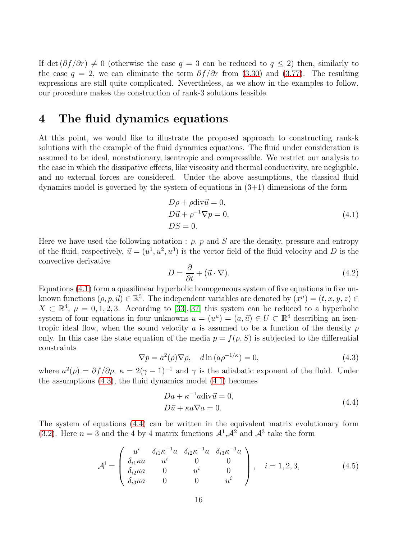If det  $(\partial f/\partial r) \neq 0$  (otherwise the case  $q = 3$  can be reduced to  $q \leq 2$ ) then, similarly to the case  $q = 2$ , we can eliminate the term  $\partial f/\partial r$  from [\(3.30\)](#page-11-0) and [\(3.77\)](#page-17-2). The resulting expressions are still quite complicated. Nevertheless, as we show in the examples to follow, our procedure makes the construction of rank-3 solutions feasible.

### 4 The fluid dynamics equations

At this point, we would like to illustrate the proposed approach to constructing rank-k solutions with the example of the fluid dynamics equations. The fluid under consideration is assumed to be ideal, nonstationary, isentropic and compressible. We restrict our analysis to the case in which the dissipative effects, like viscosity and thermal conductivity, are negligible, and no external forces are considered. Under the above assumptions, the classical fluid dynamics model is governed by the system of equations in  $(3+1)$  dimensions of the form

$$
D\rho + \rho \text{div}\vec{u} = 0,
$$
  
\n
$$
D\vec{u} + \rho^{-1}\nabla p = 0,
$$
  
\n
$$
DS = 0.
$$
\n(4.1)

<span id="page-18-0"></span>Here we have used the following notation :  $\rho$ , p and S are the density, pressure and entropy of the fluid, respectively,  $\vec{u} = (u^1, u^2, u^3)$  is the vector field of the fluid velocity and D is the convective derivative

$$
D = \frac{\partial}{\partial t} + (\vec{u} \cdot \nabla). \tag{4.2}
$$

Equations [\(4.1\)](#page-18-0) form a quasilinear hyperbolic homogeneous system of five equations in five unknown functions  $(\rho, p, \vec{u}) \in \mathbb{R}^5$ . The independent variables are denoted by  $(x^{\mu}) = (t, x, y, z) \in$  $X \subset \mathbb{R}^4$ ,  $\mu = 0, 1, 2, 3$ . According to [\[33\]](#page-39-13), [\[37\]](#page-39-14) this system can be reduced to a hyperbolic system of four equations in four unknowns  $u = (u^{\mu}) = (a, \vec{u}) \in U \subset \mathbb{R}^{4}$  describing an isentropic ideal flow, when the sound velocity a is assumed to be a function of the density  $\rho$ only. In this case the state equation of the media  $p = f(\rho, S)$  is subjected to the differential constraints

<span id="page-18-1"></span>
$$
\nabla p = a^2(\rho)\nabla \rho, \quad d\ln(a\rho^{-1/\kappa}) = 0,
$$
\n(4.3)

where  $a^2(\rho) = \partial f/\partial \rho$ ,  $\kappa = 2(\gamma - 1)^{-1}$  and  $\gamma$  is the adiabatic exponent of the fluid. Under the assumptions  $(4.3)$ , the fluid dynamics model  $(4.1)$  becomes

$$
Da + \kappa^{-1} a \text{div}\vec{u} = 0,
$$
  

$$
D\vec{u} + \kappa a \nabla a = 0.
$$
 (4.4)

<span id="page-18-2"></span>The system of equations [\(4.4\)](#page-18-2) can be written in the equivalent matrix evolutionary form [\(3.2\)](#page-7-2). Here  $n=3$  and the 4 by 4 matrix functions  $\mathcal{A}^1$ ,  $\mathcal{A}^2$  and  $\mathcal{A}^3$  take the form

$$
\mathcal{A}^{i} = \begin{pmatrix} u^{i} & \delta_{i1} \kappa^{-1} a & \delta_{i2} \kappa^{-1} a & \delta_{i3} \kappa^{-1} a \\ \delta_{i1} \kappa a & u^{i} & 0 & 0 \\ \delta_{i2} \kappa a & 0 & u^{i} & 0 \\ \delta_{i3} \kappa a & 0 & 0 & u^{i} \end{pmatrix}, \quad i = 1, 2, 3,
$$
 (4.5)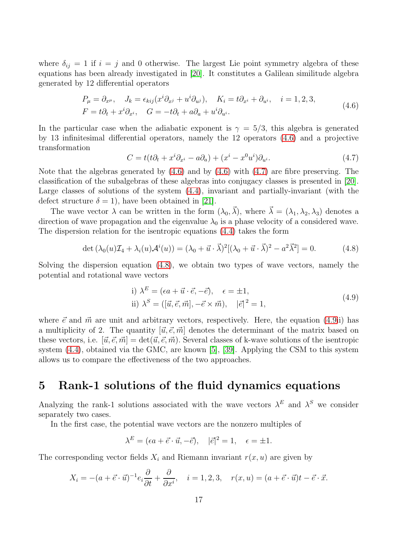where  $\delta_{ij} = 1$  if  $i = j$  and 0 otherwise. The largest Lie point symmetry algebra of these equations has been already investigated in [\[20\]](#page-38-11). It constitutes a Galilean similitude algebra generated by 12 differential operators

$$
P_{\mu} = \partial_{x^{\mu}}, \quad J_{k} = \epsilon_{kij} (x^{i} \partial_{x^{j}} + u^{i} \partial_{u^{j}}), \quad K_{i} = t \partial_{x^{i}} + \partial_{u^{i}}, \quad i = 1, 2, 3,
$$
  
\n
$$
F = t \partial_{t} + x^{i} \partial_{x^{i}}, \quad G = -t \partial_{t} + a \partial_{a} + u^{i} \partial_{u^{i}}.
$$
\n(4.6)

<span id="page-19-0"></span>In the particular case when the adiabatic exponent is  $\gamma = 5/3$ , this algebra is generated by 13 infinitesimal differential operators, namely the 12 operators [\(4.6\)](#page-19-0) and a projective transformation

<span id="page-19-1"></span>
$$
C = t(t\partial_t + x^i \partial_{x^i} - a\partial_a) + (x^i - x^0 u^i)\partial_{u^i}.
$$
\n(4.7)

Note that the algebras generated by [\(4.6\)](#page-19-0) and by [\(4.6\)](#page-19-0) with [\(4.7\)](#page-19-1) are fibre preserving. The classification of the subalgebras of these algebras into conjugacy classes is presented in [\[20\]](#page-38-11). Large classes of solutions of the system [\(4.4\)](#page-18-2), invariant and partially-invariant (with the defect structure  $\delta = 1$ , have been obtained in [\[21\]](#page-38-12).

The wave vector  $\lambda$  can be written in the form  $(\lambda_0, \vec{\lambda})$ , where  $\vec{\lambda} = (\lambda_1, \lambda_2, \lambda_3)$  denotes a direction of wave propagation and the eigenvalue  $\lambda_0$  is a phase velocity of a considered wave. The dispersion relation for the isentropic equations [\(4.4\)](#page-18-2) takes the form

<span id="page-19-2"></span>
$$
\det\left(\lambda_0(u)\mathcal{I}_4 + \lambda_i(u)\mathcal{A}^i(u)\right) = \left(\lambda_0 + \vec{u}\cdot\vec{\lambda}\right)^2 \left[\left(\lambda_0 + \vec{u}\cdot\vec{\lambda}\right)^2 - a^2\vec{\lambda}^2\right] = 0. \tag{4.8}
$$

Solving the dispersion equation [\(4.8\)](#page-19-2), we obtain two types of wave vectors, namely the potential and rotational wave vectors

i) 
$$
\lambda^{E} = (\epsilon a + \vec{u} \cdot \vec{e}, -\vec{e}), \quad \epsilon = \pm 1,
$$
  
ii) 
$$
\lambda^{S} = ([\vec{u}, \vec{e}, \vec{m}], -\vec{e} \times \vec{m}), \quad |\vec{e}|^{2} = 1,
$$
 (4.9)

<span id="page-19-3"></span>where  $\vec{e}$  and  $\vec{m}$  are unit and arbitrary vectors, respectively. Here, the equation [\(4.9i](#page-19-3)i) has a multiplicity of 2. The quantity  $[\vec{u}, \vec{e}, \vec{m}]$  denotes the determinant of the matrix based on these vectors, i.e.  $[\vec{u}, \vec{e}, \vec{m}] = \det(\vec{u}, \vec{e}, \vec{m})$ . Several classes of k-wave solutions of the isentropic system [\(4.4\)](#page-18-2), obtained via the GMC, are known [\[5\]](#page-37-7), [\[39\]](#page-39-7). Applying the CSM to this system allows us to compare the effectiveness of the two approaches.

# 5 Rank-1 solutions of the fluid dynamics equations

Analyzing the rank-1 solutions associated with the wave vectors  $\lambda^E$  and  $\lambda^S$  we consider separately two cases.

In the first case, the potential wave vectors are the nonzero multiples of

$$
\lambda^{E} = (\epsilon a + \vec{e} \cdot \vec{u}, -\vec{e}), \quad |\vec{e}|^2 = 1, \quad \epsilon = \pm 1.
$$

The corresponding vector fields  $X_i$  and Riemann invariant  $r(x, u)$  are given by

$$
X_i = -(a + \vec{e} \cdot \vec{u})^{-1} e_i \frac{\partial}{\partial t} + \frac{\partial}{\partial x^i}, \quad i = 1, 2, 3, \quad r(x, u) = (a + \vec{e} \cdot \vec{u})t - \vec{e} \cdot \vec{x}.
$$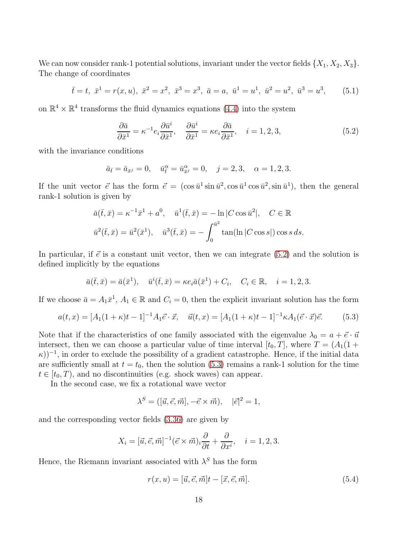We can now consider rank-1 potential solutions, invariant under the vector fields  $\{X_1, X_2, X_3\}$ . The change of coordinates

<span id="page-20-3"></span>
$$
\bar{t} = t, \ \bar{x}^1 = r(x, u), \ \bar{x}^2 = x^2, \ \bar{x}^3 = x^3, \ \bar{a} = a, \ \bar{u}^1 = u^1, \ \bar{u}^2 = u^2, \ \bar{u}^3 = u^3,
$$
\n
$$
(5.1)
$$

on  $\mathbb{R}^4 \times \mathbb{R}^4$  transforms the fluid dynamics equations [\(4.4\)](#page-18-2) into the system

<span id="page-20-0"></span>
$$
\frac{\partial \bar{a}}{\partial \bar{x}^1} = \kappa^{-1} e_i \frac{\partial \bar{u}^i}{\partial \bar{x}^1}, \quad \frac{\partial \bar{u}^i}{\partial \bar{x}^1} = \kappa e_i \frac{\partial \bar{a}}{\partial \bar{x}^1}, \quad i = 1, 2, 3,
$$
\n(5.2)

with the invariance conditions

$$
\bar{a}_{\bar{t}} = \bar{a}_{\bar{x}^j} = 0
$$
,  $\bar{u}^{\alpha}_{\bar{t}} = \bar{u}^{\alpha}_{\bar{x}^j} = 0$ ,  $j = 2, 3$ ,  $\alpha = 1, 2, 3$ .

If the unit vector  $\vec{e}$  has the form  $\vec{e} = (\cos \bar{u}^1 \sin \bar{u}^2, \cos \bar{u}^1 \cos \bar{u}^2, \sin \bar{u}^1),$  then the general rank-1 solution is given by

$$
\bar{a}(\bar{t}, \bar{x}) = \kappa^{-1}\bar{x}^1 + a^0, \quad \bar{u}^1(\bar{t}, \bar{x}) = -\ln|C\cos\bar{u}^2|, \quad C \in \mathbb{R}
$$
  

$$
\bar{u}^2(\bar{t}, \bar{x}) = \bar{u}^2(\bar{x}^1), \quad \bar{u}^3(\bar{t}, \bar{x}) = -\int_0^{\bar{u}^2} \tan(\ln|C\cos s|) \cos s \, ds.
$$

In particular, if  $\vec{e}$  is a constant unit vector, then we can integrate [\(5.2\)](#page-20-0) and the solution is defined implicitly by the equations

$$
\bar{a}(\bar{t},\bar{x}) = \bar{a}(\bar{x}^1), \quad \bar{u}^i(\bar{t},\bar{x}) = \kappa e_i \bar{a}(\bar{x}^1) + C_i, \quad C_i \in \mathbb{R}, \quad i = 1,2,3.
$$

If we choose  $\bar{a} = A_1 \bar{x}^1$ ,  $A_1 \in \mathbb{R}$  and  $C_i = 0$ , then the explicit invariant solution has the form

<span id="page-20-1"></span>
$$
a(t,x) = [A_1(1+\kappa)t - 1]^{-1}A_1\vec{e}\cdot\vec{x}, \quad \vec{u}(t,x) = [A_1(1+\kappa)t - 1]^{-1}\kappa A_1(\vec{e}\cdot\vec{x})\vec{e}.\tag{5.3}
$$

Note that if the characteristics of one family associated with the eigenvalue  $\lambda_0 = a + \vec{e} \cdot \vec{u}$ intersect, then we can choose a particular value of time interval  $[t_0, T]$ , where  $T = (A_1(1 +$  $(\kappa)$ )<sup>-1</sup>, in order to exclude the possibility of a gradient catastrophe. Hence, if the initial data are sufficiently small at  $t = t_0$ , then the solution [\(5.3\)](#page-20-1) remains a rank-1 solution for the time  $t \in [t_0, T)$ , and no discontinuities (e.g. shock waves) can appear.

In the second case, we fix a rotational wave vector

$$
\lambda^S = ([\vec{u}, \vec{e}, \vec{m}], -\vec{e} \times \vec{m}), \quad |\vec{e}|^2 = 1,
$$

and the corresponding vector fields [\(3.36\)](#page-11-3) are given by

$$
X_i = [\vec{u}, \vec{e}, \vec{m}]^{-1} (\vec{e} \times \vec{m})_i \frac{\partial}{\partial t} + \frac{\partial}{\partial x^i}, \quad i = 1, 2, 3.
$$

Hence, the Riemann invariant associated with  $\lambda^S$  has the form

<span id="page-20-2"></span>
$$
r(x, u) = [\vec{u}, \vec{e}, \vec{m}]t - [\vec{x}, \vec{e}, \vec{m}].
$$
\n(5.4)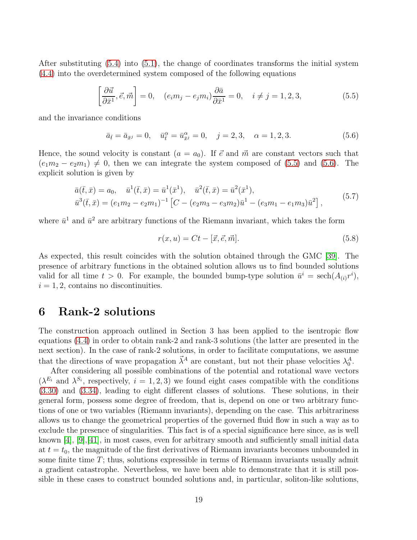After substituting [\(5.4\)](#page-20-2) into [\(5.1\)](#page-20-3), the change of coordinates transforms the initial system [\(4.4\)](#page-18-2) into the overdetermined system composed of the following equations

<span id="page-21-0"></span>
$$
\left[\frac{\partial \vec{u}}{\partial \bar{x}^1}, \vec{e}, \vec{m}\right] = 0, \quad (e_i m_j - e_j m_i) \frac{\partial \bar{a}}{\partial \bar{x}^1} = 0, \quad i \neq j = 1, 2, 3,
$$
\n(5.5)

and the invariance conditions

<span id="page-21-1"></span>
$$
\bar{a}_{\bar{t}} = \bar{a}_{\bar{x}^j} = 0, \quad \bar{u}^{\alpha}_{\bar{t}} = \bar{u}^{\alpha}_{\bar{x}^j} = 0, \quad j = 2, 3, \quad \alpha = 1, 2, 3. \tag{5.6}
$$

Hence, the sound velocity is constant  $(a = a_0)$ . If  $\vec{e}$  and  $\vec{m}$  are constant vectors such that  $(e_1m_2 - e_2m_1) \neq 0$ , then we can integrate the system composed of [\(5.5\)](#page-21-0) and [\(5.6\)](#page-21-1). The explicit solution is given by

$$
\bar{a}(\bar{t}, \bar{x}) = a_0, \quad \bar{u}^1(\bar{t}, \bar{x}) = \bar{u}^1(\bar{x}^1), \quad \bar{u}^2(\bar{t}, \bar{x}) = \bar{u}^2(\bar{x}^1), \n\bar{u}^3(\bar{t}, \bar{x}) = (e_1m_2 - e_2m_1)^{-1} \left[ C - (e_2m_3 - e_3m_2)\bar{u}^1 - (e_3m_1 - e_1m_3)\bar{u}^2 \right],
$$
\n(5.7)

where  $\bar{u}^1$  and  $\bar{u}^2$  are arbitrary functions of the Riemann invariant, which takes the form

$$
r(x, u) = Ct - [\vec{x}, \vec{e}, \vec{m}].
$$
\n
$$
(5.8)
$$

As expected, this result coincides with the solution obtained through the GMC [\[39\]](#page-39-7). The presence of arbitrary functions in the obtained solution allows us to find bounded solutions valid for all time  $t > 0$ . For example, the bounded bump-type solution  $\bar{u}^i = \text{sech}(A_{(i)}r^i)$ ,  $i = 1, 2$ , contains no discontinuities.

#### 6 Rank-2 solutions

The construction approach outlined in Section 3 has been applied to the isentropic flow equations [\(4.4\)](#page-18-2) in order to obtain rank-2 and rank-3 solutions (the latter are presented in the next section). In the case of rank-2 solutions, in order to facilitate computations, we assume that the directions of wave propagation  $\vec{\lambda}^A$  are constant, but not their phase velocities  $\lambda_0^A$ .

After considering all possible combinations of the potential and rotational wave vectors  $(\lambda^{E_i}$  and  $\lambda^{S_i}$ , respectively,  $i = 1, 2, 3$ ) we found eight cases compatible with the conditions [\(3.30\)](#page-11-0) and [\(3.34\)](#page-11-2), leading to eight different classes of solutions. These solutions, in their general form, possess some degree of freedom, that is, depend on one or two arbitrary functions of one or two variables (Riemann invariants), depending on the case. This arbitrariness allows us to change the geometrical properties of the governed fluid flow in such a way as to exclude the presence of singularities. This fact is of a special significance here since, as is well known  $[4]$ ,  $[9]$ ,  $[41]$ , in most cases, even for arbitrary smooth and sufficiently small initial data at  $t = t_0$ , the magnitude of the first derivatives of Riemann invariants becomes unbounded in some finite time  $T$ ; thus, solutions expressible in terms of Riemann invariants usually admit a gradient catastrophe. Nevertheless, we have been able to demonstrate that it is still possible in these cases to construct bounded solutions and, in particular, soliton-like solutions,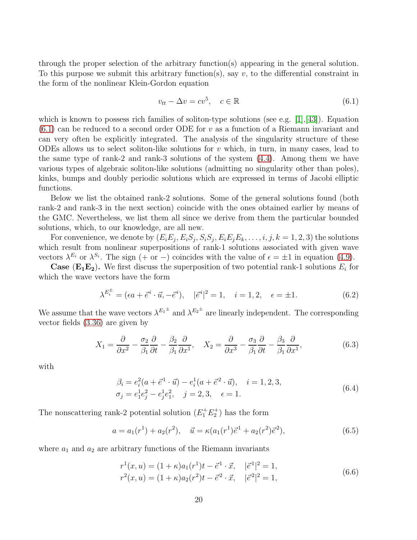through the proper selection of the arbitrary function(s) appearing in the general solution. To this purpose we submit this arbitrary function(s), say  $v$ , to the differential constraint in the form of the nonlinear Klein-Gordon equation

<span id="page-22-0"></span>
$$
v_{tt} - \Delta v = cv^5, \quad c \in \mathbb{R}
$$
\n
$$
(6.1)
$$

which is known to possess rich families of soliton-type solutions (see e.g.  $[1],[43]$  $[1],[43]$ ). Equation  $(6.1)$  can be reduced to a second order ODE for v as a function of a Riemann invariant and can very often be explicitly integrated. The analysis of the singularity structure of these ODEs allows us to select soliton-like solutions for  $v$  which, in turn, in many cases, lead to the same type of rank-2 and rank-3 solutions of the system [\(4.4\)](#page-18-2). Among them we have various types of algebraic soliton-like solutions (admitting no singularity other than poles), kinks, bumps and doubly periodic solutions which are expressed in terms of Jacobi elliptic functions.

Below we list the obtained rank-2 solutions. Some of the general solutions found (both rank-2 and rank-3 in the next section) coincide with the ones obtained earlier by means of the GMC. Nevertheless, we list them all since we derive from them the particular bounded solutions, which, to our knowledge, are all new.

For convenience, we denote by  $(E_i E_j, E_i S_j, S_i S_j, E_i E_j E_k, \ldots, i, j, k = 1, 2, 3)$  the solutions which result from nonlinear superpositions of rank-1 solutions associated with given wave vectors  $\lambda^{E_i}$  or  $\lambda^{S_i}$ . The sign (+ or -) coincides with the value of  $\epsilon = \pm 1$  in equation [\(4.9\)](#page-19-3).

**Case** ( $\mathbf{E_1}\mathbf{E_2}$ ). We first discuss the superposition of two potential rank-1 solutions  $E_i$  for which the wave vectors have the form

$$
\lambda^{E_i^{\pm}} = (\epsilon a + \vec{e}^i \cdot \vec{u}, -\vec{e}^i), \quad |\vec{e}^i|^2 = 1, \quad i = 1, 2, \quad \epsilon = \pm 1.
$$
 (6.2)

We assume that the wave vectors  $\lambda^{E_1}$  and  $\lambda^{E_2}$  are linearly independent. The corresponding vector fields [\(3.36\)](#page-11-3) are given by

$$
X_1 = \frac{\partial}{\partial x^2} - \frac{\sigma_2}{\beta_1} \frac{\partial}{\partial t} - \frac{\beta_2}{\beta_1} \frac{\partial}{\partial x^1}, \quad X_2 = \frac{\partial}{\partial x^3} - \frac{\sigma_3}{\beta_1} \frac{\partial}{\partial t} - \frac{\beta_3}{\beta_1} \frac{\partial}{\partial x^1},\tag{6.3}
$$

with

$$
\beta_i = e_i^2(a + \vec{e}^1 \cdot \vec{u}) - e_i^1(a + \vec{e}^2 \cdot \vec{u}), \quad i = 1, 2, 3, \n\sigma_j = e_1^1 e_j^2 - e_j^1 e_1^2, \quad j = 2, 3, \quad \epsilon = 1.
$$
\n(6.4)

The nonscattering rank-2 potential solution  $(E_1^+ E_2^+)$  has the form

<span id="page-22-1"></span>
$$
a = a_1(r^1) + a_2(r^2), \quad \vec{u} = \kappa(a_1(r^1)\vec{e}^1 + a_2(r^2)\vec{e}^2), \tag{6.5}
$$

where  $a_1$  and  $a_2$  are arbitrary functions of the Riemann invariants

$$
r^{1}(x, u) = (1 + \kappa)a_{1}(r^{1})t - \vec{e}^{1} \cdot \vec{x}, \quad |\vec{e}^{1}|^{2} = 1,
$$
  
\n
$$
r^{2}(x, u) = (1 + \kappa)a_{2}(r^{2})t - \vec{e}^{2} \cdot \vec{x}, \quad |\vec{e}^{2}|^{2} = 1,
$$
\n(6.6)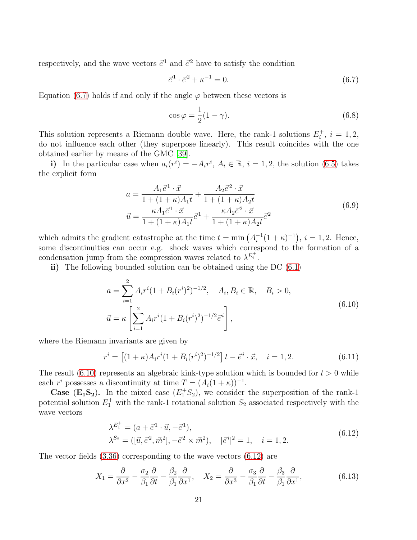respectively, and the wave vectors  $\vec{e}^1$  and  $\vec{e}^2$  have to satisfy the condition

<span id="page-23-0"></span>
$$
\vec{e}^1 \cdot \vec{e}^2 + \kappa^{-1} = 0. \tag{6.7}
$$

Equation [\(6.7\)](#page-23-0) holds if and only if the angle  $\varphi$  between these vectors is

<span id="page-23-3"></span>
$$
\cos \varphi = \frac{1}{2}(1 - \gamma). \tag{6.8}
$$

This solution represents a Riemann double wave. Here, the rank-1 solutions  $E_i^+$  $i^+, i = 1, 2,$ do not influence each other (they superpose linearly). This result coincides with the one obtained earlier by means of the GMC [\[39\]](#page-39-7).

i) In the particular case when  $a_i(r^i) = -A_i r^i$ ,  $A_i \in \mathbb{R}$ ,  $i = 1, 2$ , the solution [\(6.5\)](#page-22-1) takes the explicit form

$$
a = \frac{A_1 \vec{e}^1 \cdot \vec{x}}{1 + (1 + \kappa)A_1 t} + \frac{A_2 \vec{e}^2 \cdot \vec{x}}{1 + (1 + \kappa)A_2 t}
$$
  

$$
\vec{u} = \frac{\kappa A_1 \vec{e}^1 \cdot \vec{x}}{1 + (1 + \kappa)A_1 t} \vec{e}^1 + \frac{\kappa A_2 \vec{e}^2 \cdot \vec{x}}{1 + (1 + \kappa)A_2 t} \vec{e}^2
$$
(6.9)

which admits the gradient catastrophe at the time  $t = \min(A_i^{-1})$  $i^{-1}(1 + \kappa)^{-1}$ ,  $i = 1, 2$ . Hence, some discontinuities can occur e.g. shock waves which correspond to the formation of a condensation jump from the compression waves related to  $\lambda^{E_i^+}$ .

ii) The following bounded solution can be obtained using the DC  $(6.1)$ 

$$
a = \sum_{i=1}^{2} A_i r^i (1 + B_i (r^i)^2)^{-1/2}, \quad A_i, B_i \in \mathbb{R}, \quad B_i > 0,
$$
  

$$
\vec{u} = \kappa \left[ \sum_{i=1}^{2} A_i r^i (1 + B_i (r^i)^2)^{-1/2} \vec{e}^i \right],
$$
 (6.10)

<span id="page-23-1"></span>where the Riemann invariants are given by

$$
r^{i} = \left[ (1 + \kappa) A_{i} r^{i} (1 + B_{i} (r^{i})^{2})^{-1/2} \right] t - \vec{e}^{i} \cdot \vec{x}, \quad i = 1, 2.
$$
 (6.11)

The result [\(6.10\)](#page-23-1) represents an algebraic kink-type solution which is bounded for  $t > 0$  while each  $r^i$  possesses a discontinuity at time  $T = (A_i(1 + \kappa))^{-1}$ .

**Case** ( $\mathbf{E_1S_2}$ ). In the mixed case  $(E_1^+S_2)$ , we consider the superposition of the rank-1 potential solution  $E_1^+$  with the rank-1 rotational solution  $S_2$  associated respectively with the wave vectors

$$
\lambda^{E_1^+} = (a + \vec{e}^1 \cdot \vec{u}, -\vec{e}^1), \n\lambda^{S_2} = ([\vec{u}, \vec{e}^2, \vec{m}^2], -\vec{e}^2 \times \vec{m}^2), \quad |\vec{e}^i|^2 = 1, \quad i = 1, 2.
$$
\n(6.12)

<span id="page-23-2"></span>The vector fields [\(3.36\)](#page-11-3) corresponding to the wave vectors [\(6.12\)](#page-23-2) are

$$
X_1 = \frac{\partial}{\partial x^2} - \frac{\sigma_2}{\beta_1} \frac{\partial}{\partial t} - \frac{\beta_2}{\beta_1} \frac{\partial}{\partial x^1}, \quad X_2 = \frac{\partial}{\partial x^3} - \frac{\sigma_3}{\beta_1} \frac{\partial}{\partial t} - \frac{\beta_3}{\beta_1} \frac{\partial}{\partial x^1},\tag{6.13}
$$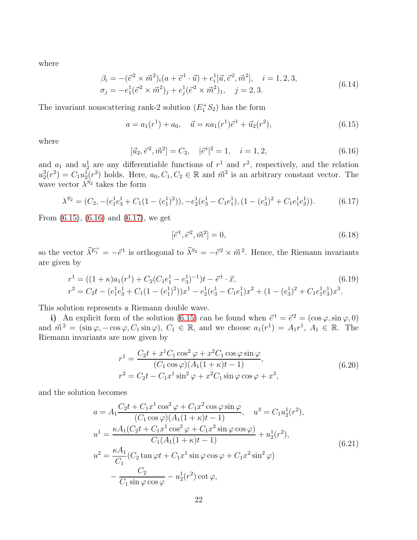where

$$
\beta_i = -(\vec{e}^2 \times \vec{m}^2)_i (a + \vec{e}^1 \cdot \vec{u}) + e_i^1 [\vec{u}, \vec{e}^2, \vec{m}^2], \quad i = 1, 2, 3, \n\sigma_j = -e_1^1 (\vec{e}^2 \times \vec{m}^2)_j + e_j^1 (\vec{e}^2 \times \vec{m}^2)_1, \quad j = 2, 3.
$$
\n(6.14)

The invariant nonscattering rank-2 solution  $(E_1^+S_2)$  has the form

<span id="page-24-0"></span>
$$
a = a_1(r^1) + a_0, \quad \vec{u} = \kappa a_1(r^1)\vec{e}^1 + \vec{u}_2(r^2), \tag{6.15}
$$

where

<span id="page-24-1"></span>
$$
[\vec{u}_2, \vec{e}^2, \vec{m}^2] = C_2, \quad |\vec{e}^i|^2 = 1, \quad i = 1, 2,
$$
\n(6.16)

and  $a_1$  and  $u_2^1$  are any differentiable functions of  $r^1$  and  $r^2$ , respectively, and the relation  $u_2^3(r^2) = C_1 u_2^1(r^2)$  holds. Here,  $a_0, C_1, C_2 \in \mathbb{R}$  and  $\vec{m}^2$  is an arbitrary constant vector. The wave vector  $\lambda^{S_2}$  takes the form

<span id="page-24-2"></span>
$$
\lambda^{S_2} = (C_2, -(e_1^1 e_3^1 + C_1 (1 - (e_1^1)^2)), -e_2^1 (e_3^1 - C_1 e_1^1), (1 - (e_3^1)^2 + C_1 e_1^1 e_3^1)).
$$
\n(6.17)

From [\(6.15\)](#page-24-0), [\(6.16\)](#page-24-1) and [\(6.17\)](#page-24-2), we get

$$
[\vec{e}^1, \vec{e}^2, \vec{m}^2] = 0,\t(6.18)
$$

so the vector  $\vec{\lambda}^{E_1^+} = -\vec{e}^1$  is orthogonal to  $\vec{\lambda}^{S_2} = -\vec{e}^2 \times \vec{m}^2$ . Hence, the Riemann invariants are given by

$$
r^{1} = ((1 + \kappa)a_{1}(r^{1}) + C_{2}(C_{1}e_{1}^{1} - e_{3}^{1})^{-1})t - \vec{e}^{1} \cdot \vec{x},
$$
\n(6.19)  
\n
$$
r^{2} = C_{2}t - (e_{1}^{1}e_{3}^{1} + C_{1}(1 - (e_{1}^{1})^{2}))x^{1} - e_{2}^{1}(e_{3}^{1} - C_{1}e_{1}^{1})x^{2} + (1 - (e_{3}^{1})^{2} + C_{1}e_{1}^{1}e_{3}^{1})x^{3}.
$$

This solution represents a Riemann double wave.

i) An explicit form of the solution [\(6.15\)](#page-24-0) can be found when  $\vec{e}^1 = \vec{e}^2 = (\cos \varphi, \sin \varphi, 0)$ and  $\vec{m}^2 = (\sin \varphi, -\cos \varphi, C_1 \sin \varphi), C_1 \in \mathbb{R}$ , and we choose  $a_1(r^1) = A_1 r^1, A_1 \in \mathbb{R}$ . The Riemann invariants are now given by

$$
r^{1} = \frac{C_{2}t + x^{1}C_{1}\cos^{2}\varphi + x^{2}C_{1}\cos\varphi\sin\varphi}{(C_{1}\cos\varphi)(A_{1}(1+\kappa)t - 1)},
$$
  
\n
$$
r^{2} = C_{2}t - C_{1}x^{1}\sin^{2}\varphi + x^{2}C_{1}\sin\varphi\cos\varphi + x^{3},
$$
\n(6.20)

and the solution becomes

$$
a = A_1 \frac{C_2 t + C_1 x^1 \cos^2 \varphi + C_1 x^2 \cos \varphi \sin \varphi}{(C_1 \cos \varphi)(A_1 (1 + \kappa)t - 1)}, \quad u^3 = C_1 u_2^1 (r^2),
$$
  
\n
$$
u^1 = \frac{\kappa A_1 (C_2 t + C_1 x^1 \cos^2 \varphi + C_1 x^2 \sin \varphi \cos \varphi)}{C_1 (A_1 (1 + \kappa)t - 1)} + u_2^1 (r^2),
$$
  
\n
$$
u^2 = \frac{\kappa A_1}{C_1} (C_2 \tan \varphi t + C_1 x^1 \sin \varphi \cos \varphi + C_1 x^2 \sin^2 \varphi)
$$
  
\n
$$
- \frac{C_2}{C_1 \sin \varphi \cos \varphi} - u_2^1 (r^2) \cot \varphi,
$$
  
\n(6.21)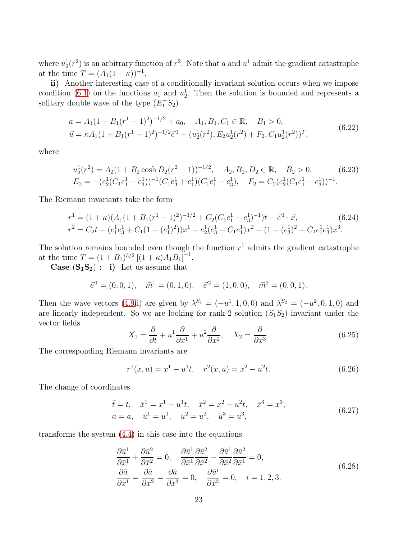where  $u_2^1(r^2)$  is an arbitrary function of  $r^2$ . Note that a and  $u^1$  admit the gradient catastrophe at the time  $T = (A_1(1 + \kappa))^{-1}$ .

ii) Another interesting case of a conditionally invariant solution occurs when we impose condition [\(6.1\)](#page-22-0) on the functions  $a_1$  and  $u_2^1$ . Then the solution is bounded and represents a solitary double wave of the type  $(E_1^+S_2)$ 

$$
a = A_1(1 + B_1(r^1 - 1)^2)^{-1/2} + a_0, \quad A_1, B_1, C_1 \in \mathbb{R}, \quad B_1 > 0,
$$
  
\n
$$
\vec{u} = \kappa A_1(1 + B_1(r^1 - 1)^2)^{-1/2} \vec{e}^1 + (u_2^1(r^2), E_2 u_2^1(r^2) + F_2, C_1 u_2^1(r^2))^T,
$$
\n(6.22)

<span id="page-25-1"></span>where

$$
u_2^1(r^2) = A_2(1 + B_2 \cosh D_2(r^2 - 1))^{-1/2}, \quad A_2, B_2, D_2 \in \mathbb{R}, \quad B_2 > 0,
$$
 (6.23)  

$$
E_2 = -(e_2^1(C_1e_1^1 - e_3^1))^{-1}(C_1e_3^1 + e_1^1)(C_1e_1^1 - e_3^1), \quad F_2 = C_2(e_2^1(C_1e_1^1 - e_3^1))^{-1}.
$$

The Riemann invariants take the form

$$
r^{1} = (1 + \kappa)(A_{1}(1 + B_{1}(r^{1} - 1)^{2})^{-1/2} + C_{2}(C_{1}e_{1}^{1} - e_{3}^{1})^{-1})t - \vec{e}^{1} \cdot \vec{x},
$$
(6.24)  

$$
r^{2} = C_{2}t - (e_{1}^{1}e_{3}^{1} + C_{1}(1 - (e_{1}^{1})^{2}))x^{1} - e_{2}^{1}(e_{3}^{1} - C_{1}e_{1}^{1})x^{2} + (1 - (e_{3}^{1})^{2} + C_{1}e_{1}^{1}e_{3}^{1})x^{3}.
$$

The solution remains bounded even though the function  $r<sup>1</sup>$  admits the gradient catastrophe at the time  $T = (1 + B_1)^{3/2} [(1 + \kappa) A_1 B_1]^{-1}$ .

**Case**  $(S_1S_2)$ : i) Let us assume that

$$
\vec{e}^1 = (0,0,1), \quad \vec{m}^1 = (0,1,0), \quad \vec{e}^2 = (1,0,0), \quad \vec{m}^2 = (0,0,1).
$$

Then the wave vectors [\(4.9i](#page-19-3)i) are given by  $\lambda^{S_1} = (-u^1, 1, 0, 0)$  and  $\lambda^{S_2} = (-u^2, 0, 1, 0)$  and are linearly independent. So we are looking for rank-2 solution  $(S_1S_2)$  invariant under the vector fields

$$
X_1 = \frac{\partial}{\partial t} + u^1 \frac{\partial}{\partial x^1} + u^2 \frac{\partial}{\partial x^2}, \quad X_2 = \frac{\partial}{\partial x^3}.
$$
 (6.25)

The corresponding Riemann invariants are

$$
r^{1}(x, u) = x^{1} - u^{1}t, \quad r^{2}(x, u) = x^{2} - u^{2}t.
$$
 (6.26)

The change of coordinates

$$
\begin{aligned}\n\bar{t} &= t, & \bar{x}^1 &= x^1 - u^1 t, & \bar{x}^2 &= x^2 - u^2 t, & \bar{x}^3 &= x^3, \\
\bar{a} &= a, & \bar{u}^1 &= u^1, & \bar{u}^2 &= u^2, & \bar{u}^3 &= u^3,\n\end{aligned} \tag{6.27}
$$

<span id="page-25-0"></span>transforms the system [\(4.4\)](#page-18-2) in this case into the equations

$$
\frac{\partial \bar{u}^1}{\partial \bar{x}^1} + \frac{\partial \bar{u}^2}{\partial \bar{x}^2} = 0, \quad \frac{\partial \bar{u}^1}{\partial \bar{x}^1} \frac{\partial \bar{u}^2}{\partial \bar{x}^2} - \frac{\partial \bar{u}^1}{\partial \bar{x}^2} \frac{\partial \bar{u}^2}{\partial \bar{x}^1} = 0, \n\frac{\partial \bar{a}}{\partial \bar{x}^1} = \frac{\partial \bar{a}}{\partial \bar{x}^2} = \frac{\partial \bar{a}}{\partial \bar{x}^3} = 0, \quad \frac{\partial \bar{u}^i}{\partial \bar{x}^3} = 0, \quad i = 1, 2, 3.
$$
\n(6.28)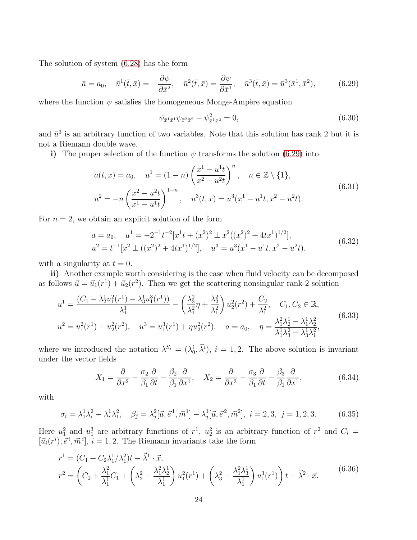The solution of system [\(6.28\)](#page-25-0) has the form

<span id="page-26-0"></span>
$$
\bar{a} = a_0, \quad \bar{u}^1(\bar{t}, \bar{x}) = -\frac{\partial \psi}{\partial \bar{x}^2}, \quad \bar{u}^2(\bar{t}, \bar{x}) = \frac{\partial \psi}{\partial \bar{x}^1}, \quad \bar{u}^3(\bar{t}, \bar{x}) = \bar{u}^3(\bar{x}^1, \bar{x}^2), \tag{6.29}
$$

where the function  $\psi$  satisfies the homogeneous Monge-Ampère equation

$$
\psi_{\bar{x}^1 \bar{x}^1} \psi_{\bar{x}^2 \bar{x}^2} - \psi_{\bar{x}^1 \bar{x}^2}^2 = 0, \tag{6.30}
$$

and  $\bar{u}^3$  is an arbitrary function of two variables. Note that this solution has rank 2 but it is not a Riemann double wave.

i) The proper selection of the function  $\psi$  transforms the solution [\(6.29\)](#page-26-0) into

$$
a(t,x) = a_0, \quad u^1 = (1-n) \left(\frac{x^1 - u^1 t}{x^2 - u^2 t}\right)^n, \quad n \in \mathbb{Z} \setminus \{1\},
$$
  

$$
u^2 = -n \left(\frac{x^2 - u^2 t}{x^1 - u^1 t}\right)^{1-n}, \quad u^3(t,x) = u^3(x^1 - u^1 t, x^2 - u^2 t).
$$
 (6.31)

For  $n = 2$ , we obtain an explicit solution of the form

$$
a = a_0, \quad u^1 = -2^{-1}t^{-2}[x^1t + (x^2)^2 \pm x^2((x^2)^2 + 4tx^1)^{1/2}],
$$
  
\n
$$
u^2 = t^{-1}[x^2 \pm ((x^2)^2 + 4tx^1)^{1/2}], \quad u^3 = u^3(x^1 - u^1t, x^2 - u^2t).
$$
\n(6.32)

with a singularity at  $t = 0$ .

ii) Another example worth considering is the case when fluid velocity can be decomposed as follows  $\vec{u} = \vec{u}_1(r^1) + \vec{u}_2(r^2)$ . Then we get the scattering nonsingular rank-2 solution

$$
u^{1} = \frac{(C_{1} - \lambda_{2}^{1} u_{1}^{2}(r^{1}) - \lambda_{3}^{1} u_{1}^{3}(r^{1}))}{\lambda_{1}^{1}} - \left(\frac{\lambda_{3}^{2}}{\lambda_{1}^{2}} \eta + \frac{\lambda_{2}^{2}}{\lambda_{1}^{2}}\right) u_{2}^{2}(r^{2}) + \frac{C_{2}}{\lambda_{1}^{2}}, \quad C_{1}, C_{2} \in \mathbb{R},
$$
  

$$
u^{2} = u_{1}^{2}(r^{1}) + u_{2}^{2}(r^{2}), \quad u^{3} = u_{1}^{3}(r^{1}) + \eta u_{2}^{2}(r^{2}), \quad a = a_{0}, \quad \eta = \frac{\lambda_{1}^{2} \lambda_{2}^{1} - \lambda_{1}^{1} \lambda_{2}^{2}}{\lambda_{1}^{1} \lambda_{3}^{2} - \lambda_{3}^{1} \lambda_{1}^{2}},
$$
(6.33)

where we introduced the notation  $\lambda^{S_i} = (\lambda_0^i, \vec{\lambda}^i), i = 1, 2$ . The above solution is invariant under the vector fields

$$
X_1 = \frac{\partial}{\partial x^2} - \frac{\sigma_2}{\beta_1} \frac{\partial}{\partial t} - \frac{\beta_2}{\beta_1} \frac{\partial}{\partial x^1}, \quad X_2 = \frac{\partial}{\partial x^3} - \frac{\sigma_3}{\beta_1} \frac{\partial}{\partial t} - \frac{\beta_3}{\beta_1} \frac{\partial}{\partial x^1},\tag{6.34}
$$

with

$$
\sigma_i = \lambda_1^1 \lambda_i^2 - \lambda_i^1 \lambda_1^2, \quad \beta_j = \lambda_j^2 [\vec{u}, \vec{e}^1, \vec{m}^1] - \lambda_j^1 [\vec{u}, \vec{e}^2, \vec{m}^2], \quad i = 2, 3, \quad j = 1, 2, 3. \tag{6.35}
$$

Here  $u_1^2$  and  $u_1^3$  are arbitrary functions of  $r^1$ ,  $u_2^2$  is an arbitrary function of  $r^2$  and  $C_i$  =  $[\vec{u}_i(r^i), \vec{e}^i, \vec{m}^i], i = 1, 2$ . The Riemann invariants take the form

$$
r^{1} = (C_{1} + C_{2}\lambda_{1}^{1}/\lambda_{1}^{2})t - \vec{\lambda}^{1} \cdot \vec{x},
$$
  
\n
$$
r^{2} = \left(C_{2} + \frac{\lambda_{1}^{2}}{\lambda_{1}^{1}}C_{1} + \left(\lambda_{2}^{2} - \frac{\lambda_{1}^{2}\lambda_{2}^{1}}{\lambda_{1}^{1}}\right)u_{1}^{2}(r^{1}) + \left(\lambda_{3}^{2} - \frac{\lambda_{1}^{2}\lambda_{3}^{1}}{\lambda_{1}^{1}}\right)u_{1}^{3}(r^{1})\right)t - \vec{\lambda}^{2} \cdot \vec{x}.
$$
\n(6.36)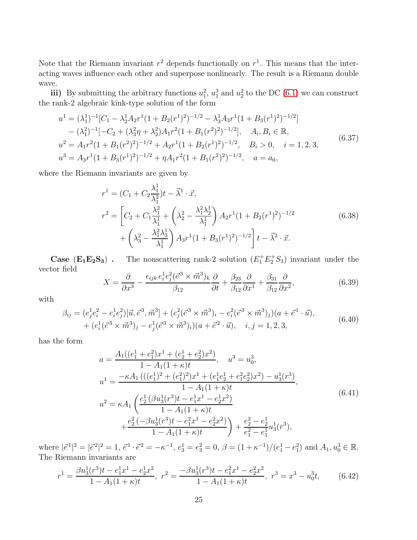Note that the Riemann invariant  $r^2$  depends functionally on  $r^1$ . This means that the interacting waves influence each other and superpose nonlinearly. The result is a Riemann double wave.

iii) By submitting the arbitrary functions  $u_1^2$ ,  $u_1^3$  and  $u_2^2$  to the DC [\(6.1\)](#page-22-0) we can construct the rank-2 algebraic kink-type solution of the form

<span id="page-27-0"></span>
$$
u^{1} = (\lambda_{1}^{1})^{-1} [C_{1} - \lambda_{2}^{1} A_{2} r^{1} (1 + B_{2}(r^{1})^{2})^{-1/2} - \lambda_{3}^{1} A_{3} r^{1} (1 + B_{3}(r^{1})^{2})^{-1/2}]
$$
  
\n
$$
- (\lambda_{1}^{2})^{-1} [-C_{2} + (\lambda_{3}^{2} \eta + \lambda_{2}^{2}) A_{1} r^{2} (1 + B_{1}(r^{2})^{2})^{-1/2}], \quad A_{i}, B_{i} \in \mathbb{R},
$$
  
\n
$$
u^{2} = A_{1} r^{2} (1 + B_{1}(r^{2})^{2})^{-1/2} + A_{2} r^{1} (1 + B_{2}(r^{1})^{2})^{-1/2}, \quad B_{i} > 0, \quad i = 1, 2, 3,
$$
  
\n
$$
u^{3} = A_{3} r^{1} (1 + B_{3}(r^{1})^{2})^{-1/2} + \eta A_{1} r^{2} (1 + B_{1}(r^{2})^{2})^{-1/2}, \quad a = a_{0},
$$
  
\n(6.37)

where the Riemann invariants are given by

$$
r^{1} = (C_{1} + C_{2} \frac{\lambda_{1}^{1}}{\lambda_{1}^{2}})t - \vec{\lambda}^{1} \cdot \vec{x},
$$
  
\n
$$
r^{2} = \left[C_{2} + C_{1} \frac{\lambda_{1}^{2}}{\lambda_{1}^{1}} + \left(\lambda_{2}^{2} - \frac{\lambda_{1}^{2} \lambda_{2}^{1}}{\lambda_{1}^{1}}\right) A_{2} r^{1} (1 + B_{2}(r^{1})^{2})^{-1/2} + \left(\lambda_{3}^{2} - \frac{\lambda_{1}^{2} \lambda_{3}^{1}}{\lambda_{1}^{1}}\right) A_{3} r^{1} (1 + B_{3}(r^{1})^{2})^{-1/2}\right] t - \vec{\lambda}^{2} \cdot \vec{x}.
$$
\n(6.38)

**Case** ( $\mathbf{E}_1 \mathbf{E}_2 \mathbf{S}_3$ ). The nonscattering rank-2 solution ( $E_1^+ E_2^+ S_3$ ) invariant under the vector field  $\rightarrow$  3  $\rightarrow$ 

$$
X = \frac{\partial}{\partial x^3} - \frac{\epsilon_{ijk} e_i^1 e_j^2 (\vec{e}^3 \times \vec{m}^3)_k}{\beta_{12}} \frac{\partial}{\partial t} + \frac{\beta_{23}}{\beta_{12}} \frac{\partial}{\partial x^1} + \frac{\beta_{31}}{\beta_{12}} \frac{\partial}{\partial x^2},
$$
(6.39)

with

$$
\beta_{ij} = (e_j^1 e_i^2 - e_i^1 e_j^2) [\vec{u}, \vec{e}^3, \vec{m}^3] + (e_j^2 (\vec{e}^3 \times \vec{m}^3)_i - e_i^2 (\vec{e}^3 \times \vec{m}^3)_j)(a + \vec{e}^1 \cdot \vec{u}), + (e_i^1 (\vec{e}^3 \times \vec{m}^3)_j - e_j^1 (\vec{e}^3 \times \vec{m}^3)_i)(a + \vec{e}^2 \cdot \vec{u}), \quad i, j = 1, 2, 3,
$$
\n(6.40)

has the form

$$
a = \frac{A_1((e_1^1 + e_1^2)x^1 + (e_2^1 + e_2^2)x^2)}{1 - A_1(1 + \kappa)t}, \quad u^3 = u_0^3,
$$
  
\n
$$
u^1 = \frac{-\kappa A_1(((e_1^1)^2 + (e_1^2)^2)x^1 + (e_1^1e_2^1 + e_1^2e_2^2)x^2) - u_3^1(r^3)}{1 - A_1(1 + \kappa)t},
$$
  
\n
$$
u^2 = \kappa A_1 \left( \frac{e_2^1(\beta u_3^1(r^3)t - e_1^1x^1 - e_2^1x^2)}{1 - A_1(1 + \kappa)t} + \frac{e_2^2(-\beta u_3^1(r^3)t - e_1^2x^1 - e_2^2x^2)}{1 - A_1(1 + \kappa)t} \right) + \frac{e_2^2 - e_2^1}{e_1^2 - e_1^1} u_3^1(r^3),
$$
\n(6.41)

where  $|\vec{e}^1|^2 = |\vec{e}^2|^2 = 1$ ,  $\vec{e}^1 \cdot \vec{e}^2 = -\kappa^{-1}$ ,  $e_3^1 = e_3^2 = 0$ ,  $\beta = (1 + \kappa^{-1})/(e_1^1 - e_1^2)$  and  $A_1, u_0^3 \in \mathbb{R}$ . The Riemann invariants are

$$
r^{1} = \frac{\beta u_{3}^{1}(r^{3})t - e_{1}^{1}x^{1} - e_{2}^{1}x^{2}}{1 - A_{1}(1 + \kappa)t}, \ r^{2} = \frac{-\beta u_{3}^{1}(r^{3})t - e_{1}^{2}x^{1} - e_{2}^{2}x^{2}}{1 - A_{1}(1 + \kappa)t}, \ r^{3} = x^{3} - u_{0}^{3}t, \tag{6.42}
$$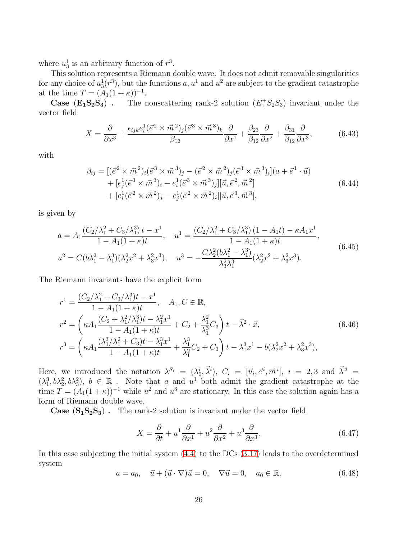where  $u_3^1$  is an arbitrary function of  $r^3$ .

This solution represents a Riemann double wave. It does not admit removable singularities for any choice of  $u_3^1(r^3)$ , but the functions  $a, u^1$  and  $u^2$  are subject to the gradient catastrophe at the time  $T = (A_1(1 + \kappa))^{-1}$ .

**Case**  $(E_1S_2S_3)$ . The nonscattering rank-2 solution  $(E_1^+S_2S_3)$  invariant under the vector field

$$
X = \frac{\partial}{\partial x^3} + \frac{\epsilon_{ijk}e_i^1(\vec{e}^2 \times \vec{m}^2)_j(\vec{e}^3 \times \vec{m}^3)_k}{\beta_{12}} \frac{\partial}{\partial x^1} + \frac{\beta_{23}}{\beta_{12}} \frac{\partial}{\partial x^2} + \frac{\beta_{31}}{\beta_{12}} \frac{\partial}{\partial x^3},
$$
(6.43)

with

$$
\beta_{ij} = [(\vec{e}^2 \times \vec{m}^2)_i (\vec{e}^3 \times \vec{m}^3)_j - (\vec{e}^2 \times \vec{m}^2)_j (\vec{e}^3 \times \vec{m}^3)_i](a + \vec{e}^1 \cdot \vec{u}) + [e_j^1 (\vec{e}^3 \times \vec{m}^3)_i - e_i^1 (\vec{e}^3 \times \vec{m}^3)_j][\vec{u}, \vec{e}^2, \vec{m}^2] + [e_i^1 (\vec{e}^2 \times \vec{m}^2)_j - e_j^1 (\vec{e}^2 \times \vec{m}^2)_i][\vec{u}, \vec{e}^3, \vec{m}^3],
$$
\n(6.44)

is given by

$$
a = A_1 \frac{(C_2/\lambda_1^2 + C_3/\lambda_1^3)t - x^1}{1 - A_1(1 + \kappa)t}, \quad u^1 = \frac{(C_2/\lambda_1^2 + C_3/\lambda_1^3)(1 - A_1t) - \kappa A_1 x^1}{1 - A_1(1 + \kappa)t},
$$
  
\n
$$
u^2 = C(b\lambda_1^2 - \lambda_1^3)(\lambda_2^2 x^2 + \lambda_3^2 x^3), \quad u^3 = -\frac{C\lambda_2^2(b\lambda_1^2 - \lambda_1^3)}{\lambda_3^2 \lambda_1^3}(\lambda_2^2 x^2 + \lambda_3^2 x^3).
$$
\n(6.45)

The Riemann invariants have the explicit form

$$
r^{1} = \frac{(C_{2}/\lambda_{1}^{2} + C_{3}/\lambda_{1}^{3})t - x^{1}}{1 - A_{1}(1 + \kappa)t}, \quad A_{1}, C \in \mathbb{R},
$$
  
\n
$$
r^{2} = \left(\kappa A_{1} \frac{(C_{2} + \lambda_{1}^{2}/\lambda_{1}^{3})t - \lambda_{1}^{2}x^{1}}{1 - A_{1}(1 + \kappa)t} + C_{2} + \frac{\lambda_{1}^{2}}{\lambda_{1}^{3}}C_{3}\right)t - \vec{\lambda}^{2} \cdot \vec{x},
$$
  
\n
$$
r^{3} = \left(\kappa A_{1} \frac{(\lambda_{1}^{3}/\lambda_{1}^{2} + C_{3})t - \lambda_{1}^{3}x^{1}}{1 - A_{1}(1 + \kappa)t} + \frac{\lambda_{1}^{3}}{\lambda_{1}^{2}}C_{2} + C_{3}\right)t - \lambda_{1}^{3}x^{1} - b(\lambda_{2}^{2}x^{2} + \lambda_{3}^{2}x^{3}),
$$
\n(6.46)

Here, we introduced the notation  $\lambda^{S_i} = (\lambda_0^i, \vec{\lambda}^i)$ ,  $C_i = [\vec{u}_i, \vec{e}^i, \vec{m}^i]$ ,  $i = 2, 3$  and  $\vec{\lambda}^3 =$  $(\lambda_1^3, b\lambda_2^2, b\lambda_3^2), b \in \mathbb{R}$ . Note that a and  $u^1$  both admit the gradient catastrophe at the time  $T = (A_1(1 + \kappa))^{-1}$  while  $u^2$  and  $u^3$  are stationary. In this case the solution again has a form of Riemann double wave.

**Case**  $(S_1S_2S_3)$ . The rank-2 solution is invariant under the vector field

$$
X = \frac{\partial}{\partial t} + u^1 \frac{\partial}{\partial x^1} + u^2 \frac{\partial}{\partial x^2} + u^3 \frac{\partial}{\partial x^3}.
$$
 (6.47)

In this case subjecting the initial system [\(4.4\)](#page-18-2) to the DCs [\(3.17\)](#page-9-2) leads to the overdetermined system

<span id="page-28-0"></span>
$$
a = a_0, \quad \vec{u} + (\vec{u} \cdot \nabla)\vec{u} = 0, \quad \nabla \vec{u} = 0, \quad a_0 \in \mathbb{R}.
$$
\n
$$
(6.48)
$$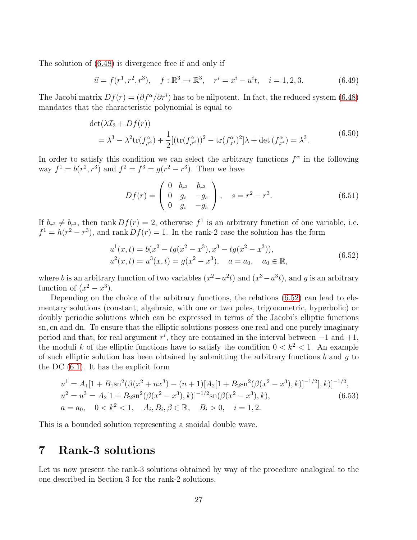The solution of [\(6.48\)](#page-28-0) is divergence free if and only if

$$
\vec{u} = f(r^1, r^2, r^3), \quad f: \mathbb{R}^3 \to \mathbb{R}^3, \quad r^i = x^i - u^i t, \quad i = 1, 2, 3. \tag{6.49}
$$

The Jacobi matrix  $Df(r) = (\partial f^{\alpha}/\partial r^i)$  has to be nilpotent. In fact, the reduced system [\(6.48\)](#page-28-0) mandates that the characteristic polynomial is equal to

$$
\det(\lambda \mathcal{I}_3 + Df(r))
$$
  
=  $\lambda^3 - \lambda^2 \text{tr}(f_{,r}^{\alpha}) + \frac{1}{2} [(\text{tr}(f_{,r}^{\alpha}))^2 - \text{tr}(f_{,r}^{\alpha})^2] \lambda + \det(f_{,r}^{\alpha}) = \lambda^3.$  (6.50)

In order to satisfy this condition we can select the arbitrary functions  $f^{\alpha}$  in the following way  $f^1 = b(r^2, r^3)$  and  $f^2 = f^3 = g(r^2 - r^3)$ . Then we have

$$
Df(r) = \begin{pmatrix} 0 & b_{r^2} & b_{r^3} \\ 0 & g_s & -g_s \\ 0 & g_s & -g_s \end{pmatrix}, \quad s = r^2 - r^3.
$$
 (6.51)

If  $b_{r^2} \neq b_{r^3}$ , then rank  $Df(r) = 2$ , otherwise  $f^1$  is an arbitrary function of one variable, i.e.  $f^1 = h(r^2 - r^3)$ , and rank  $Df(r) = 1$ . In the rank-2 case the solution has the form

$$
u^{1}(x,t) = b(x^{2} - tg(x^{2} - x^{3}), x^{3} - tg(x^{2} - x^{3})),
$$
  
\n
$$
u^{2}(x,t) = u^{3}(x,t) = g(x^{2} - x^{3}), \quad a = a_{0}, \quad a_{0} \in \mathbb{R},
$$
\n(6.52)

<span id="page-29-0"></span>where b is an arbitrary function of two variables  $(x^2 - u^2t)$  and  $(x^3 - u^3t)$ , and g is an arbitrary function of  $(x^2 - x^3)$ .

Depending on the choice of the arbitrary functions, the relations  $(6.52)$  can lead to elementary solutions (constant, algebraic, with one or two poles, trigonometric, hyperbolic) or doubly periodic solutions which can be expressed in terms of the Jacobi's elliptic functions sn, cn and dn. To ensure that the elliptic solutions possess one real and one purely imaginary period and that, for real argument  $r^i$ , they are contained in the interval between  $-1$  and  $+1$ , the moduli k of the elliptic functions have to satisfy the condition  $0 < k^2 < 1$ . An example of such elliptic solution has been obtained by submitting the arbitrary functions  $b$  and  $q$  to the DC [\(6.1\)](#page-22-0). It has the explicit form

<span id="page-29-1"></span>
$$
u^{1} = A_{1}[1 + B_{1}\operatorname{sn}^{2}(\beta(x^{2} + nx^{3}) - (n+1)[A_{2}[1 + B_{2}\operatorname{sn}^{2}(\beta(x^{2} - x^{3}), k)]^{-1/2}], k)]^{-1/2},
$$
  
\n
$$
u^{2} = u^{3} = A_{2}[1 + B_{2}\operatorname{sn}^{2}(\beta(x^{2} - x^{3}), k)]^{-1/2}\operatorname{sn}(\beta(x^{2} - x^{3}), k),
$$
  
\n
$$
a = a_{0}, \quad 0 < k^{2} < 1, \quad A_{i}, B_{i}, \beta \in \mathbb{R}, \quad B_{i} > 0, \quad i = 1, 2.
$$
\n(6.53)

This is a bounded solution representing a snoidal double wave.

## 7 Rank-3 solutions

Let us now present the rank-3 solutions obtained by way of the procedure analogical to the one described in Section 3 for the rank-2 solutions.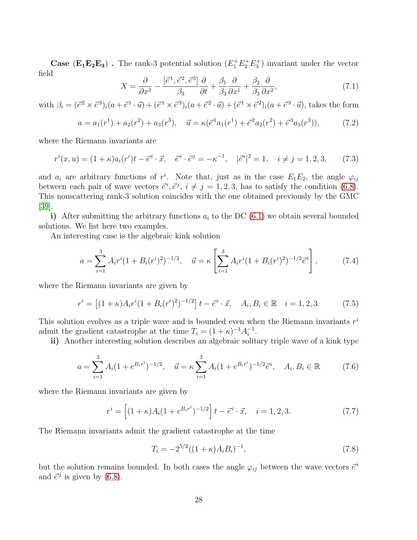**Case** ( $\mathbf{E_1} \mathbf{E_2} \mathbf{E_3}$ ). The rank-3 potential solution ( $E_1^+ E_2^+ E_3^+$ ) invariant under the vector field

$$
X = \frac{\partial}{\partial x^3} - \frac{[\vec{e}^1, \vec{e}^2, \vec{e}^3]}{\beta_3} \frac{\partial}{\partial t} + \frac{\beta_1}{\beta_3} \frac{\partial}{\partial x^1} + \frac{\beta_2}{\beta_3} \frac{\partial}{\partial x^2},\tag{7.1}
$$

with  $\beta_i = (\vec{e}^2 \times \vec{e}^3)_i (a + \vec{e}^1 \cdot \vec{u}) + (\vec{e}^1 \times \vec{e}^3)_i (a + \vec{e}^2 \cdot \vec{u}) + (\vec{e}^1 \times \vec{e}^2)_i (a + \vec{e}^3 \cdot \vec{u})$ , takes the form

$$
a = a_1(r^1) + a_2(r^2) + a_3(r^3), \quad \vec{u} = \kappa(\vec{e}^1 a_1(r^1) + \vec{e}^2 a_2(r^2) + \vec{e}^3 a_3(r^3)),\tag{7.2}
$$

where the Riemann invariants are

$$
r^{i}(x, u) = (1 + \kappa)a_{i}(r^{i})t - \vec{e}^{i} \cdot \vec{x}, \quad \vec{e}^{i} \cdot \vec{e}^{j} = -\kappa^{-1}, \quad |\vec{e}^{i}|^{2} = 1, \quad i \neq j = 1, 2, 3, \tag{7.3}
$$

and  $a_i$  are arbitrary functions of  $r^i$ . Note that, just as in the case  $E_1E_2$ , the angle  $\varphi_{ij}$ between each pair of wave vectors  $\vec{e}^i, \vec{e}^j, i \neq j = 1, 2, 3$ , has to satisfy the condition [\(6.8\)](#page-23-3). This nonscattering rank-3 solution coincides with the one obtained previously by the GMC [\[39\]](#page-39-7).

i) After submitting the arbitrary functions  $a_i$  to the DC [\(6.1\)](#page-22-0) we obtain several bounded solutions. We list here two examples.

<span id="page-30-0"></span>An interesting case is the algebraic kink solution

$$
a = \sum_{i=1}^{3} A_i r^i (1 + B_i (r^i)^2)^{-1/2}, \quad \vec{u} = \kappa \left[ \sum_{i=1}^{3} A_i r^i (1 + B_i (r^i)^2)^{-1/2} \vec{e}^i \right], \tag{7.4}
$$

where the Riemann invariants are given by

$$
r^{i} = \left[ (1 + \kappa) A_{i} r^{i} (1 + B_{i} (r^{i})^{2})^{-1/2} \right] t - \vec{e}^{i} \cdot \vec{x}, \quad A_{i}, B_{i} \in \mathbb{R} \quad i = 1, 2, 3. \tag{7.5}
$$

This solution evolves as a triple wave and is bounded even when the Riemann invariants  $r^i$ admit the gradient catastrophe at the time  $T_i = (1 + \kappa)^{-1} A_i^{-1}$ .

ii) Another interesting solution describes an algebraic solitary triple wave of a kink type

<span id="page-30-1"></span>
$$
a = \sum_{i=1}^{3} A_i (1 + e^{B_i r^i})^{-1/2}, \quad \vec{u} = \kappa \sum_{i=1}^{3} A_i (1 + e^{B_i r^i})^{-1/2} \vec{e}^i, \quad A_i, B_i \in \mathbb{R}
$$
 (7.6)

where the Riemann invariants are given by

$$
r^{i} = \left[ (1 + \kappa) A_{i} (1 + e^{B_{i} r^{i}})^{-1/2} \right] t - \vec{e}^{i} \cdot \vec{x}, \quad i = 1, 2, 3. \tag{7.7}
$$

The Riemann invariants admit the gradient catastrophe at the time

$$
T_i = -2^{5/2}((1+\kappa)A_iB_i)^{-1},\tag{7.8}
$$

but the solution remains bounded. In both cases the angle  $\varphi_{ij}$  between the wave vectors  $\vec{e}^i$ and  $\vec{e}^j$  is given by [\(6.8\)](#page-23-3).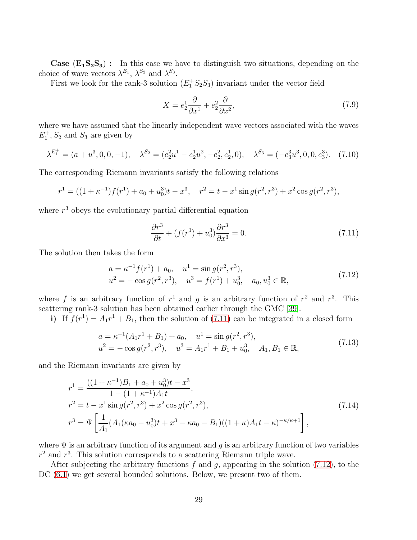**Case**  $(E_1S_2S_3)$ : In this case we have to distinguish two situations, depending on the choice of wave vectors  $\lambda^{E_1}$ ,  $\lambda^{S_2}$  and  $\lambda^{S_3}$ .

First we look for the rank-3 solution  $(E_1^+ S_2 S_3)$  invariant under the vector field

$$
X = e_2^1 \frac{\partial}{\partial x^1} + e_2^2 \frac{\partial}{\partial x^2},\tag{7.9}
$$

where we have assumed that the linearly independent wave vectors associated with the waves  $E_1^+$ ,  $S_2$  and  $S_3$  are given by

<span id="page-31-2"></span>
$$
\lambda^{E_1^+} = (a + u^3, 0, 0, -1), \quad \lambda^{S_2} = (e_2^2 u^1 - e_2^1 u^2, -e_2^2, e_2^1, 0), \quad \lambda^{S_3} = (-e_3^3 u^3, 0, 0, e_3^3). \tag{7.10}
$$

The corresponding Riemann invariants satisfy the following relations

$$
r^{1} = ((1 + \kappa^{-1})f(r^{1}) + a_{0} + u_{0}^{3})t - x^{3}, \quad r^{2} = t - x^{1}\sin g(r^{2}, r^{3}) + x^{2}\cos g(r^{2}, r^{3}),
$$

where  $r<sup>3</sup>$  obeys the evolutionary partial differential equation

<span id="page-31-0"></span>
$$
\frac{\partial r^3}{\partial t} + (f(r^1) + u_0^3) \frac{\partial r^3}{\partial x^3} = 0.
$$
\n(7.11)

<span id="page-31-1"></span>The solution then takes the form

$$
a = \kappa^{-1} f(r^1) + a_0, \quad u^1 = \sin g(r^2, r^3),
$$
  
\n
$$
u^2 = -\cos g(r^2, r^3), \quad u^3 = f(r^1) + u_0^3, \quad a_0, u_0^3 \in \mathbb{R},
$$
\n(7.12)

where f is an arbitrary function of  $r^1$  and g is an arbitrary function of  $r^2$  and  $r^3$ . This scattering rank-3 solution has been obtained earlier through the GMC [\[39\]](#page-39-7).

i) If  $f(r^1) = A_1r^1 + B_1$ , then the solution of [\(7.11\)](#page-31-0) can be integrated in a closed form

$$
a = \kappa^{-1}(A_1 r^1 + B_1) + a_0, \quad u^1 = \sin g(r^2, r^3),
$$
  
\n
$$
u^2 = -\cos g(r^2, r^3), \quad u^3 = A_1 r^1 + B_1 + u_0^3, \quad A_1, B_1 \in \mathbb{R},
$$
\n(7.13)

and the Riemann invariants are given by

$$
r^{1} = \frac{((1 + \kappa^{-1})B_{1} + a_{0} + u_{0}^{3})t - x^{3}}{1 - (1 + \kappa^{-1})A_{1}t},
$$
  
\n
$$
r^{2} = t - x^{1} \sin g(r^{2}, r^{3}) + x^{2} \cos g(r^{2}, r^{3}),
$$
  
\n
$$
r^{3} = \Psi \left[ \frac{1}{A_{1}} (A_{1}(\kappa a_{0} - u_{0}^{3})t + x^{3} - \kappa a_{0} - B_{1})((1 + \kappa)A_{1}t - \kappa)^{-\kappa/\kappa + 1} \right],
$$
\n(7.14)

where  $\Psi$  is an arbitrary function of its argument and g is an arbitrary function of two variables  $r<sup>2</sup>$  and  $r<sup>3</sup>$ . This solution corresponds to a scattering Riemann triple wave.

After subjecting the arbitrary functions  $f$  and  $g$ , appearing in the solution [\(7.12\)](#page-31-1), to the DC  $(6.1)$  we get several bounded solutions. Below, we present two of them.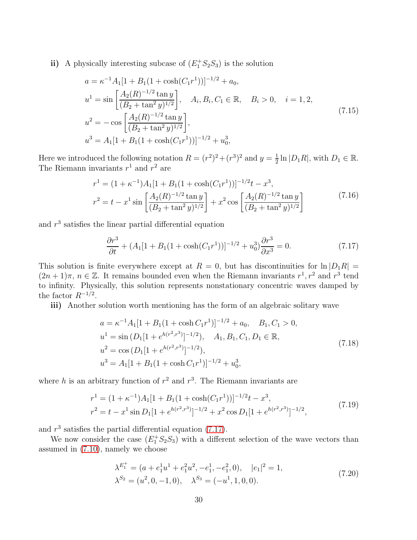<span id="page-32-1"></span>ii) A physically interesting subcase of  $(E_1^+ S_2 S_3)$  is the solution

$$
a = \kappa^{-1} A_1 [1 + B_1 (1 + \cosh(C_1 r^1))]^{-1/2} + a_0,
$$
  
\n
$$
u^1 = \sin\left[\frac{A_2 (R)^{-1/2} \tan y}{(B_2 + \tan^2 y)^{1/2}}\right], \quad A_i, B_i, C_1 \in \mathbb{R}, \quad B_i > 0, \quad i = 1, 2,
$$
  
\n
$$
u^2 = -\cos\left[\frac{A_2 (R)^{-1/2} \tan y}{(B_2 + \tan^2 y)^{1/2}}\right],
$$
  
\n
$$
u^3 = A_1 [1 + B_1 (1 + \cosh(C_1 r^1))]^{-1/2} + u_0^3,
$$
\n(7.15)

Here we introduced the following notation  $R = (r^2)^2 + (r^3)^2$  and  $y = \frac{1}{2}$  $\frac{1}{2} \ln |D_1 R|$ , with  $D_1 \in \mathbb{R}$ . The Riemann invariants  $r^1$  and  $r^2$  are

$$
r^{1} = (1 + \kappa^{-1})A_{1}[1 + B_{1}(1 + \cosh(C_{1}r^{1}))]^{-1/2}t - x^{3},
$$
  
\n
$$
r^{2} = t - x^{1}\sin\left[\frac{A_{2}(R)^{-1/2}\tan y}{(B_{2} + \tan^{2} y)^{1/2}}\right] + x^{2}\cos\left[\frac{A_{2}(R)^{-1/2}\tan y}{(B_{2} + \tan^{2} y)^{1/2}}\right]
$$
\n(7.16)

and  $r<sup>3</sup>$  satisfies the linear partial differential equation

<span id="page-32-0"></span>
$$
\frac{\partial r^3}{\partial t} + (A_1[1 + B_1(1 + \cosh(C_1 r^1))]^{-1/2} + u_0^3 \frac{\partial r^3}{\partial x^3} = 0.
$$
 (7.17)

This solution is finite everywhere except at  $R = 0$ , but has discontinuities for  $\ln |D_1R|$  $(2n+1)\pi$ ,  $n \in \mathbb{Z}$ . It remains bounded even when the Riemann invariants  $r^1$ ,  $r^2$  and  $r^3$  tend to infinity. Physically, this solution represents nonstationary concentric waves damped by the factor  $R^{-1/2}$ .

iii) Another solution worth mentioning has the form of an algebraic solitary wave

$$
a = \kappa^{-1} A_1 [1 + B_1 (1 + \cosh C_1 r^1)]^{-1/2} + a_0, \quad B_1, C_1 > 0,
$$
  
\n
$$
u^1 = \sin (D_1 [1 + e^{h(r^2, r^3)}]^{-1/2}), \quad A_1, B_1, C_1, D_1 \in \mathbb{R},
$$
  
\n
$$
u^2 = \cos (D_1 [1 + e^{h(r^2, r^3)}]^{-1/2}),
$$
  
\n
$$
u^3 = A_1 [1 + B_1 (1 + \cosh C_1 r^1)]^{-1/2} + u_0^3,
$$
\n(7.18)

<span id="page-32-2"></span>where h is an arbitrary function of  $r^2$  and  $r^3$ . The Riemann invariants are

$$
r^{1} = (1 + \kappa^{-1})A_{1}[1 + B_{1}(1 + \cosh(C_{1}r^{1}))]^{-1/2}t - x^{3},
$$
  
\n
$$
r^{2} = t - x^{1}\sin D_{1}[1 + e^{h(r^{2},r^{3})}]^{-1/2} + x^{2}\cos D_{1}[1 + e^{h(r^{2},r^{3})}]^{-1/2},
$$
\n(7.19)

and  $r<sup>3</sup>$  satisfies the partial differential equation [\(7.17\)](#page-32-0).

We now consider the case  $(E_1^+ S_2 S_3)$  with a different selection of the wave vectors than assumed in [\(7.10\)](#page-31-2), namely we choose

$$
\lambda^{E_1^+} = (a + e_1^1 u^1 + e_1^2 u^2, -e_1^1, -e_1^2, 0), \quad |e_1|^2 = 1,\n\lambda^{S_2} = (u^2, 0, -1, 0), \quad \lambda^{S_3} = (-u^1, 1, 0, 0).
$$
\n(7.20)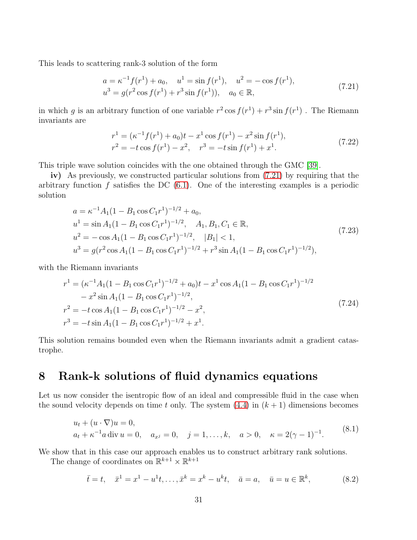<span id="page-33-0"></span>This leads to scattering rank-3 solution of the form

$$
a = \kappa^{-1} f(r^1) + a_0, \quad u^1 = \sin f(r^1), \quad u^2 = -\cos f(r^1),
$$
  
\n
$$
u^3 = g(r^2 \cos f(r^1) + r^3 \sin f(r^1)), \quad a_0 \in \mathbb{R},
$$
\n(7.21)

in which g is an arbitrary function of one variable  $r^2 \cos f(r^1) + r^3 \sin f(r^1)$ . The Riemann invariants are

$$
r^{1} = (\kappa^{-1} f(r^{1}) + a_{0})t - x^{1} \cos f(r^{1}) - x^{2} \sin f(r^{1}),
$$
  
\n
$$
r^{2} = -t \cos f(r^{1}) - x^{2}, \quad r^{3} = -t \sin f(r^{1}) + x^{1}.
$$
\n(7.22)

This triple wave solution coincides with the one obtained through the GMC [\[39\]](#page-39-7).

iv) As previously, we constructed particular solutions from [\(7.21\)](#page-33-0) by requiring that the arbitrary function f satisfies the DC  $(6.1)$ . One of the interesting examples is a periodic solution

$$
a = \kappa^{-1} A_1 (1 - B_1 \cos C_1 r^1)^{-1/2} + a_0,
$$
  
\n
$$
u^1 = \sin A_1 (1 - B_1 \cos C_1 r^1)^{-1/2}, \quad A_1, B_1, C_1 \in \mathbb{R},
$$
  
\n
$$
u^2 = -\cos A_1 (1 - B_1 \cos C_1 r^1)^{-1/2}, \quad |B_1| < 1,
$$
  
\n
$$
u^3 = g(r^2 \cos A_1 (1 - B_1 \cos C_1 r^1)^{-1/2} + r^3 \sin A_1 (1 - B_1 \cos C_1 r^1)^{-1/2}),
$$
\n(7.23)

<span id="page-33-2"></span>with the Riemann invariants

$$
r^{1} = (\kappa^{-1}A_{1}(1 - B_{1}\cos C_{1}r^{1})^{-1/2} + a_{0})t - x^{1}\cos A_{1}(1 - B_{1}\cos C_{1}r^{1})^{-1/2}
$$
  
\n
$$
- x^{2}\sin A_{1}(1 - B_{1}\cos C_{1}r^{1})^{-1/2},
$$
  
\n
$$
r^{2} = -t\cos A_{1}(1 - B_{1}\cos C_{1}r^{1})^{-1/2} - x^{2},
$$
  
\n
$$
r^{3} = -t\sin A_{1}(1 - B_{1}\cos C_{1}r^{1})^{-1/2} + x^{1}.
$$
\n(7.24)

This solution remains bounded even when the Riemann invariants admit a gradient catastrophe.

# 8 Rank-k solutions of fluid dynamics equations

Let us now consider the isentropic flow of an ideal and compressible fluid in the case when the sound velocity depends on time t only. The system  $(4.4)$  in  $(k + 1)$  dimensions becomes

$$
u_t + (u \cdot \nabla)u = 0,
$$
  
\n
$$
a_t + \kappa^{-1}a \operatorname{div} u = 0, \quad a_{x^j} = 0, \quad j = 1, ..., k, \quad a > 0, \quad \kappa = 2(\gamma - 1)^{-1}.
$$
\n(8.1)

<span id="page-33-1"></span>We show that in this case our approach enables us to construct arbitrary rank solutions.

The change of coordinates on  $\mathbb{R}^{k+1} \times \mathbb{R}^{k+1}$ 

$$
\bar{t} = t, \quad \bar{x}^1 = x^1 - u^1 t, \dots, \bar{x}^k = x^k - u^k t, \quad \bar{a} = a, \quad \bar{u} = u \in \mathbb{R}^k,
$$
\n(8.2)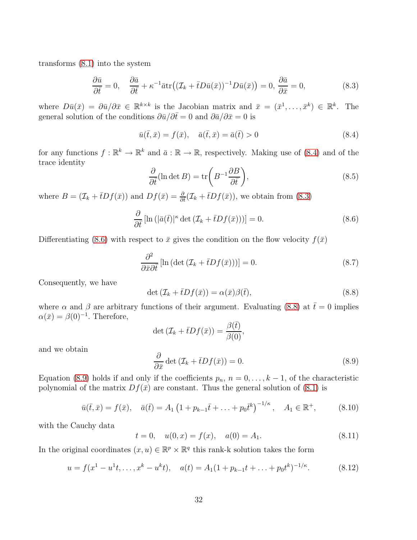transforms [\(8.1\)](#page-33-1) into the system

<span id="page-34-1"></span>
$$
\frac{\partial \bar{u}}{\partial \bar{t}} = 0, \quad \frac{\partial \bar{a}}{\partial \bar{t}} + \kappa^{-1} \bar{a} \text{tr} \big( (\mathcal{I}_k + \bar{t} D \bar{u}(\bar{x}))^{-1} D \bar{u}(\bar{x}) \big) = 0, \frac{\partial \bar{a}}{\partial \bar{x}} = 0,
$$
\n(8.3)

where  $D\bar{u}(\bar{x}) = \partial \bar{u}/\partial \bar{x} \in \mathbb{R}^{k \times k}$  is the Jacobian matrix and  $\bar{x} = (\bar{x}^1, \dots, \bar{x}^k) \in \mathbb{R}^k$ . The general solution of the conditions  $\partial \bar{u}/\partial \bar{t}= 0$  and  $\partial \bar{a}/\partial \bar{x}= 0$  is

<span id="page-34-0"></span>
$$
\bar{u}(\bar{t}, \bar{x}) = f(\bar{x}), \quad \bar{a}(\bar{t}, \bar{x}) = \bar{a}(\bar{t}) > 0
$$
\n(8.4)

for any functions  $f : \mathbb{R}^k \to \mathbb{R}^k$  and  $\bar{a} : \mathbb{R} \to \mathbb{R}$ , respectively. Making use of [\(8.4\)](#page-34-0) and of the trace identity

$$
\frac{\partial}{\partial \bar{t}} (\ln \det B) = \text{tr}\left( B^{-1} \frac{\partial B}{\partial \bar{t}} \right),\tag{8.5}
$$

where  $B=(\mathcal{I}_k+\bar{t}Df(\bar{x}))$  and  $Df(\bar{x})=\frac{\partial}{\partial \bar{t}}(\mathcal{I}_k+\bar{t}Df(\bar{x}))$ , we obtain from [\(8.3\)](#page-34-1)

<span id="page-34-2"></span>
$$
\frac{\partial}{\partial \bar{t}}\left[\ln\left(|\bar{a}(\bar{t})|^{\kappa}\det\left(\mathcal{I}_k + \bar{t}Df(\bar{x})\right)\right)\right] = 0.
$$
\n(8.6)

Differentiating [\(8.6\)](#page-34-2) with respect to  $\bar{x}$  gives the condition on the flow velocity  $f(\bar{x})$ 

$$
\frac{\partial^2}{\partial \bar{x}\partial \bar{t}}\left[\ln\left(\det\left(\mathcal{I}_k + \bar{t}Df(\bar{x})\right)\right)\right] = 0.
$$
\n(8.7)

Consequently, we have

<span id="page-34-3"></span>
$$
\det\left(\mathcal{I}_k + \bar{t}Df(\bar{x})\right) = \alpha(\bar{x})\beta(\bar{t}),\tag{8.8}
$$

where  $\alpha$  and  $\beta$  are arbitrary functions of their argument. Evaluating [\(8.8\)](#page-34-3) at  $\bar{t}=0$  implies  $\alpha(\bar{x}) = \beta(0)^{-1}$ . Therefore,

<span id="page-34-4"></span>
$$
\det \left( \mathcal{I}_k + \bar{t} D f(\bar{x}) \right) = \frac{\beta(\bar{t})}{\beta(0)},
$$
  

$$
\frac{\partial}{\partial \bar{x}} \det \left( \mathcal{I}_k + \bar{t} D f(\bar{x}) \right) = 0.
$$
 (8.9)

and we obtain

Equation [\(8.9\)](#page-34-4) holds if and only if the coefficients  $p_n$ ,  $n = 0, \ldots, k - 1$ , of the characteristic polynomial of the matrix  $Df(\bar{x})$  are constant. Thus the general solution of [\(8.1\)](#page-33-1) is

$$
\bar{u}(\bar{t}, \bar{x}) = f(\bar{x}), \quad \bar{a}(\bar{t}) = A_1 \left( 1 + p_{k-1} \bar{t} + \dots + p_0 \bar{t}^k \right)^{-1/\kappa}, \quad A_1 \in \mathbb{R}^+, \tag{8.10}
$$

with the Cauchy data

$$
t = 0, \quad u(0, x) = f(x), \quad a(0) = A_1.
$$
 (8.11)

In the original coordinates  $(x, u) \in \mathbb{R}^p \times \mathbb{R}^q$  this rank-k solution takes the form

$$
u = f(x^1 - u^1t, \dots, x^k - u^kt), \quad a(t) = A_1(1 + p_{k-1}t + \dots + p_0t^k)^{-1/\kappa}.
$$
 (8.12)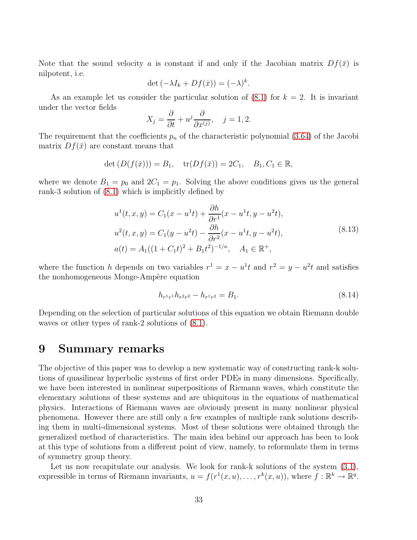Note that the sound velocity a is constant if and only if the Jacobian matrix  $Df(\bar{x})$  is nilpotent, i.e.

$$
\det\left(-\lambda I_k + Df(\bar{x})\right) = (-\lambda)^k.
$$

As an example let us consider the particular solution of  $(8.1)$  for  $k = 2$ . It is invariant under the vector fields

$$
X_j = \frac{\partial}{\partial t} + u^j \frac{\partial}{\partial x^{(j)}}, \quad j = 1, 2.
$$

The requirement that the coefficients  $p_n$  of the characteristic polynomial [\(3.64\)](#page-15-0) of the Jacobi matrix  $Df(\bar{x})$  are constant means that

$$
\det (D(f(\bar{x}))) = B_1, \quad \text{tr}(Df(\bar{x})) = 2C_1, \quad B_1, C_1 \in \mathbb{R},
$$

where we denote  $B_1 = p_0$  and  $2C_1 = p_1$ . Solving the above conditions gives us the general rank-3 solution of [\(8.1\)](#page-33-1) which is implicitly defined by

$$
u^{1}(t, x, y) = C_{1}(x - u^{1}t) + \frac{\partial h}{\partial r^{1}}(x - u^{1}t, y - u^{2}t),
$$
  
\n
$$
u^{2}(t, x, y) = C_{1}(y - u^{2}t) - \frac{\partial h}{\partial r^{2}}(x - u^{1}t, y - u^{2}t),
$$
  
\n
$$
a(t) = A_{1}((1 + C_{1}t)^{2} + B_{1}t^{2})^{-1/\kappa}, \quad A_{1} \in \mathbb{R}^{+},
$$
\n(8.13)

where the function h depends on two variables  $r^1 = x - u^1t$  and  $r^2 = y - u^2t$  and satisfies the nonhomogeneous Monge-Ampère equation

$$
h_{r^1r^1}h_{r^2r^2} - h_{r^1r^2} = B_1.
$$
\n(8.14)

Depending on the selection of particular solutions of this equation we obtain Riemann double waves or other types of rank-2 solutions of [\(8.1\)](#page-33-1).

### 9 Summary remarks

The objective of this paper was to develop a new systematic way of constructing rank-k solutions of quasilinear hyperbolic systems of first order PDEs in many dimensions. Specifically, we have been interested in nonlinear superpositions of Riemann waves, which constitute the elementary solutions of these systems and are ubiquitous in the equations of mathematical physics. Interactions of Riemann waves are obviously present in many nonlinear physical phenomena. However there are still only a few examples of multiple rank solutions describing them in multi-dimensional systems. Most of these solutions were obtained through the generalized method of characteristics. The main idea behind our approach has been to look at this type of solutions from a different point of view, namely, to reformulate them in terms of symmetry group theory.

Let us now recapitulate our analysis. We look for rank-k solutions of the system  $(3.1)$ , expressible in terms of Riemann invariants,  $u = f(r^1(x, u), \dots, r^k(x, u))$ , where  $f : \mathbb{R}^k \to \mathbb{R}^q$ .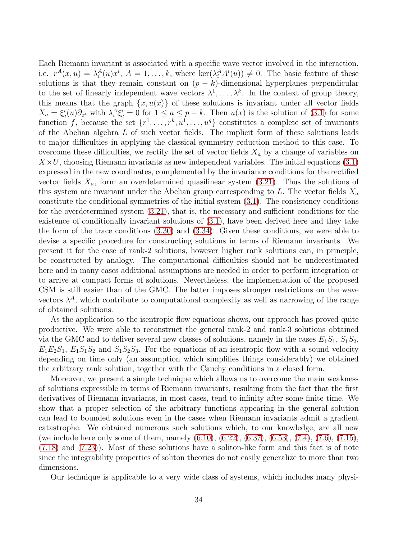Each Riemann invariant is associated with a specific wave vector involved in the interaction, i.e.  $r^{A}(x, u) = \lambda_i^{A}(u)x^{i}, A = 1, ..., k$ , where  $\ker(\lambda_i^{A} A^{i}(u)) \neq 0$ . The basic feature of these solutions is that they remain constant on  $(p - k)$ -dimensional hyperplanes perpendicular to the set of linearly independent wave vectors  $\lambda^1, \ldots, \lambda^k$ . In the context of group theory, this means that the graph  $\{x, u(x)\}\$  of these solutions is invariant under all vector fields  $X_a = \xi_a^i(u)\partial_{x^i}$  with  $\lambda_i^A \xi_a^i = 0$  for  $1 \le a \le p-k$ . Then  $u(x)$  is the solution of [\(3.1\)](#page-7-0) for some function f, because the set  $\{r^1, \ldots, r^k, u^1, \ldots, u^q\}$  constitutes a complete set of invariants of the Abelian algebra  $L$  of such vector fields. The implicit form of these solutions leads to major difficulties in applying the classical symmetry reduction method to this case. To overcome these difficulties, we rectify the set of vector fields  $X_a$  by a change of variables on  $X \times U$ , choosing Riemann invariants as new independent variables. The initial equations [\(3.1\)](#page-7-0) expressed in the new coordinates, complemented by the invariance conditions for the rectified vector fields  $X_a$ , form an overdetermined quasilinear system  $(3.21)$ . Thus the solutions of this system are invariant under the Abelian group corresponding to  $L$ . The vector fields  $X_a$ constitute the conditional symmetries of the initial system [\(3.1\)](#page-7-0). The consistency conditions for the overdetermined system [\(3.21\)](#page-9-3), that is, the necessary and sufficient conditions for the existence of conditionally invariant solutions of [\(3.1\)](#page-7-0), have been derived here and they take the form of the trace conditions [\(3.30\)](#page-11-0) and [\(3.34\)](#page-11-2). Given these conditions, we were able to devise a specific procedure for constructing solutions in terms of Riemann invariants. We present it for the case of rank-2 solutions, however higher rank solutions can, in principle, be constructed by analogy. The computational difficulties should not be underestimated here and in many cases additional assumptions are needed in order to perform integration or to arrive at compact forms of solutions. Nevertheless, the implementation of the proposed CSM is still easier than of the GMC. The latter imposes stronger restrictions on the wave vectors  $\lambda^A$ , which contribute to computational complexity as well as narrowing of the range of obtained solutions.

As the application to the isentropic flow equations shows, our approach has proved quite productive. We were able to reconstruct the general rank-2 and rank-3 solutions obtained via the GMC and to deliver several new classes of solutions, namely in the cases  $E_1S_1$ ,  $S_1S_2$ ,  $E_1E_2S_1$ ,  $E_1S_1S_2$  and  $S_1S_2S_3$ . For the equations of an isentropic flow with a sound velocity depending on time only (an assumption which simplifies things considerably) we obtained the arbitrary rank solution, together with the Cauchy conditions in a closed form.

Moreover, we present a simple technique which allows us to overcome the main weakness of solutions expressible in terms of Riemann invariants, resulting from the fact that the first derivatives of Riemann invariants, in most cases, tend to infinity after some finite time. We show that a proper selection of the arbitrary functions appearing in the general solution can lead to bounded solutions even in the cases when Riemann invariants admit a gradient catastrophe. We obtained numerous such solutions which, to our knowledge, are all new (we include here only some of them, namely [\(6.10\)](#page-23-1), [\(6.22\)](#page-25-1), [\(6.37\)](#page-27-0), [\(6.53\)](#page-29-1), [\(7.4\)](#page-30-0), [\(7.6\)](#page-30-1), [\(7.15\)](#page-32-1), [\(7.18\)](#page-32-2) and [\(7.23\)](#page-33-2)). Most of these solutions have a soliton-like form and this fact is of note since the integrability properties of soliton theories do not easily generalize to more than two dimensions.

Our technique is applicable to a very wide class of systems, which includes many physi-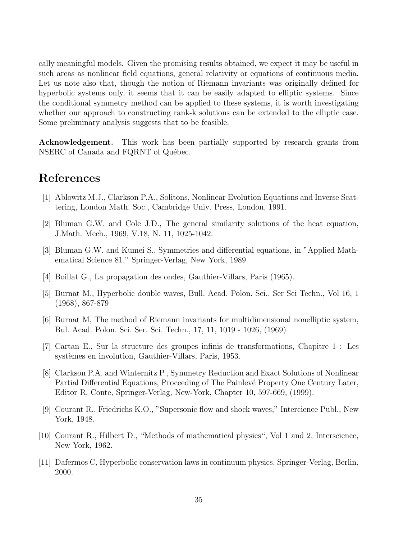cally meaningful models. Given the promising results obtained, we expect it may be useful in such areas as nonlinear field equations, general relativity or equations of continuous media. Let us note also that, though the notion of Riemann invariants was originally defined for hyperbolic systems only, it seems that it can be easily adapted to elliptic systems. Since the conditional symmetry method can be applied to these systems, it is worth investigating whether our approach to constructing rank-k solutions can be extended to the elliptic case. Some preliminary analysis suggests that to be feasible.

Acknowledgement. This work has been partially supported by research grants from NSERC of Canada and FQRNT of Québec.

# <span id="page-37-10"></span>References

- <span id="page-37-4"></span>[1] Ablowitz M.J., Clarkson P.A., Solitons, Nonlinear Evolution Equations and Inverse Scattering, London Math. Soc., Cambridge Univ. Press, London, 1991.
- <span id="page-37-5"></span>[2] Bluman G.W. and Cole J.D., The general similarity solutions of the heat equation, J.Math. Mech., 1969, V.18, N. 11, 1025-1042.
- <span id="page-37-8"></span>[3] Bluman G.W. and Kumei S., Symmetries and differential equations, in "Applied Mathematical Science 81," Springer-Verlag, New York, 1989.
- <span id="page-37-7"></span>[4] Boillat G., La propagation des ondes, Gauthier-Villars, Paris (1965).
- [5] Burnat M., Hyperbolic double waves, Bull. Acad. Polon. Sci., Ser Sci Techn., Vol 16, 1 (1968), 867-879
- <span id="page-37-1"></span>[6] Burnat M, The method of Riemann invariants for multidimensional nonelliptic system, Bul. Acad. Polon. Sci. Ser. Sci. Techn., 17, 11, 1019 - 1026, (1969)
- <span id="page-37-6"></span><span id="page-37-2"></span>[7] Cartan E., Sur la structure des groupes infinis de transformations, Chapitre 1 : Les systèmes en involution, Gauthier-Villars, Paris, 1953.
- [8] Clarkson P.A. and Winternitz P., Symmetry Reduction and Exact Solutions of Nonlinear Partial Differential Equations, Proceeding of The Painlevé Property One Century Later, Editor R. Conte, Springer-Verlag, New-York, Chapter 10, 597-669, (1999).
- <span id="page-37-9"></span>[9] Courant R., Friedrichs K.O., "Supersonic flow and shock waves," Intercience Publ., New York, 1948.
- <span id="page-37-3"></span><span id="page-37-0"></span>[10] Courant R., Hilbert D., "Methods of mathematical physics", Vol 1 and 2, Interscience, New York, 1962.
- [11] Dafermos C, Hyperbolic conservation laws in continuum physics, Springer-Verlag, Berlin, 2000.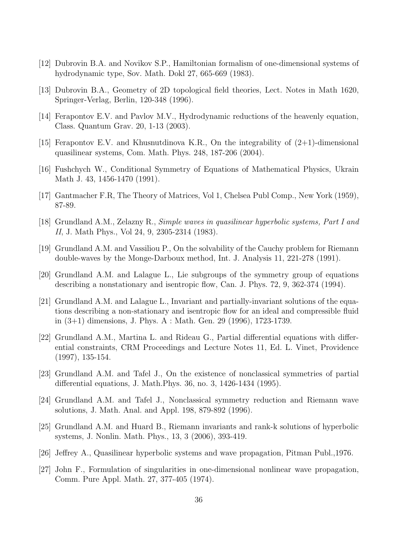- <span id="page-38-4"></span>[12] Dubrovin B.A. and Novikov S.P., Hamiltonian formalism of one-dimensional systems of hydrodynamic type, Sov. Math. Dokl 27, 665-669 (1983).
- [13] Dubrovin B.A., Geometry of 2D topological field theories, Lect. Notes in Math 1620, Springer-Verlag, Berlin, 120-348 (1996).
- <span id="page-38-5"></span>[14] Ferapontov E.V. and Pavlov M.V., Hydrodynamic reductions of the heavenly equation, Class. Quantum Grav. 20, 1-13 (2003).
- <span id="page-38-8"></span>[15] Ferapontov E.V. and Khusnutdinova K.R., On the integrability of  $(2+1)$ -dimensional quasilinear systems, Com. Math. Phys. 248, 187-206 (2004).
- <span id="page-38-10"></span>[16] Fushchych W., Conditional Symmetry of Equations of Mathematical Physics, Ukrain Math J. 43, 1456-1470 (1991).
- <span id="page-38-6"></span>[17] Gantmacher F.R, The Theory of Matrices, Vol 1, Chelsea Publ Comp., New York (1959), 87-89.
- <span id="page-38-7"></span>[18] Grundland A.M., Zelazny R., Simple waves in quasilinear hyperbolic systems, Part I and II, J. Math Phys., Vol 24, 9, 2305-2314 (1983).
- <span id="page-38-11"></span>[19] Grundland A.M. and Vassiliou P., On the solvability of the Cauchy problem for Riemann double-waves by the Monge-Darboux method, Int. J. Analysis 11, 221-278 (1991).
- [20] Grundland A.M. and Lalague L., Lie subgroups of the symmetry group of equations describing a nonstationary and isentropic flow, Can. J. Phys. 72, 9, 362-374 (1994).
- <span id="page-38-12"></span>[21] Grundland A.M. and Lalague L., Invariant and partially-invariant solutions of the equations describing a non-stationary and isentropic flow for an ideal and compressible fluid in (3+1) dimensions, J. Phys. A : Math. Gen. 29 (1996), 1723-1739.
- <span id="page-38-1"></span>[22] Grundland A.M., Martina L. and Rideau G., Partial differential equations with differential constraints, CRM Proceedings and Lecture Notes 11, Ed. L. Vinet, Providence (1997), 135-154.
- <span id="page-38-9"></span>[23] Grundland A.M. and Tafel J., On the existence of nonclassical symmetries of partial differential equations, J. Math.Phys. 36, no. 3, 1426-1434 (1995).
- <span id="page-38-2"></span>[24] Grundland A.M. and Tafel J., Nonclassical symmetry reduction and Riemann wave solutions, J. Math. Anal. and Appl. 198, 879-892 (1996).
- <span id="page-38-3"></span>[25] Grundland A.M. and Huard B., Riemann invariants and rank-k solutions of hyperbolic systems, J. Nonlin. Math. Phys., 13, 3 (2006), 393-419.
- <span id="page-38-0"></span>[26] Jeffrey A., Quasilinear hyperbolic systems and wave propagation, Pitman Publ.,1976.
- [27] John F., Formulation of singularities in one-dimensional nonlinear wave propagation, Comm. Pure Appl. Math. 27, 377-405 (1974).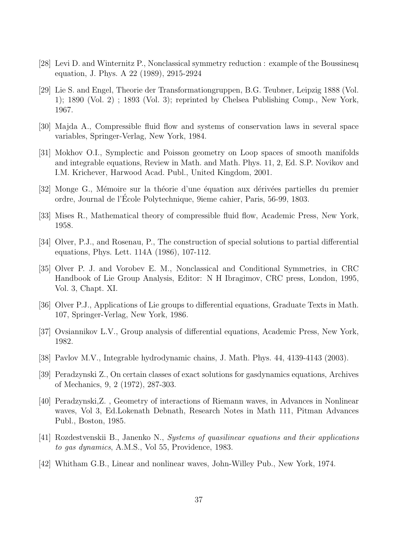- <span id="page-39-10"></span><span id="page-39-4"></span>[28] Levi D. and Winternitz P., Nonclassical symmetry reduction : example of the Boussinesq equation, J. Phys. A 22 (1989), 2915-2924
- [29] Lie S. and Engel, Theorie der Transformationgruppen, B.G. Teubner, Leipzig 1888 (Vol. 1); 1890 (Vol. 2) ; 1893 (Vol. 3); reprinted by Chelsea Publishing Comp., New York, 1967.
- <span id="page-39-5"></span><span id="page-39-1"></span>[30] Majda A., Compressible fluid flow and systems of conservation laws in several space variables, Springer-Verlag, New York, 1984.
- [31] Mokhov O.I., Symplectic and Poisson geometry on Loop spaces of smooth manifolds and integrable equations, Review in Math. and Math. Phys. 11, 2, Ed. S.P. Novikov and I.M. Krichever, Harwood Acad. Publ., United Kingdom, 2001.
- <span id="page-39-13"></span><span id="page-39-0"></span>[32] Monge G., Mémoire sur la théorie d'une équation aux dérivées partielles du premier ordre, Journal de l'Ecole Polytechnique, 9ieme cahier, Paris, 56-99, 1803. ´
- <span id="page-39-9"></span>[33] Mises R., Mathematical theory of compressible fluid flow, Academic Press, New York, 1958.
- <span id="page-39-11"></span>[34] Olver, P.J., and Rosenau, P., The construction of special solutions to partial differential equations, Phys. Lett. 114A (1986), 107-112.
- [35] Olver P. J. and Vorobev E. M., Nonclassical and Conditional Symmetries, in CRC Handbook of Lie Group Analysis, Editor: N H Ibragimov, CRC press, London, 1995, Vol. 3, Chapt. XI.
- <span id="page-39-14"></span><span id="page-39-12"></span>[36] Olver P.J., Applications of Lie groups to differential equations, Graduate Texts in Math. 107, Springer-Verlag, New York, 1986.
- <span id="page-39-6"></span>[37] Ovsiannikov L.V., Group analysis of differential equations, Academic Press, New York, 1982.
- <span id="page-39-7"></span>[38] Pavlov M.V., Integrable hydrodynamic chains, J. Math. Phys. 44, 4139-4143 (2003).
- [39] Peradzynski Z., On certain classes of exact solutions for gasdynamics equations, Archives of Mechanics, 9, 2 (1972), 287-303.
- <span id="page-39-2"></span>[40] Peradzynski,Z. , Geometry of interactions of Riemann waves, in Advances in Nonlinear waves, Vol 3, Ed.Lokenath Debnath, Research Notes in Math 111, Pitman Advances Publ., Boston, 1985.
- <span id="page-39-8"></span><span id="page-39-3"></span>[41] Rozdestvenskii B., Janenko N., Systems of quasilinear equations and their applications to gas dynamics, A.M.S., Vol 55, Providence, 1983.
- [42] Whitham G.B., Linear and nonlinear waves, John-Willey Pub., New York, 1974.